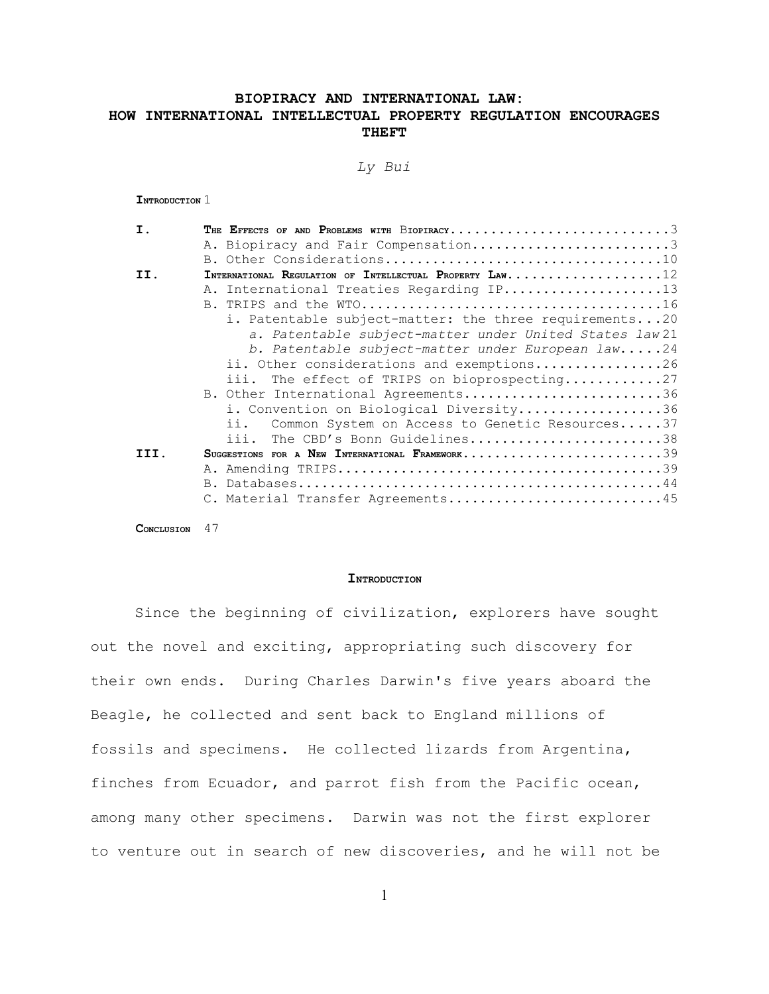# **BIOPIRACY AND INTERNATIONAL LAW: HOW INTERNATIONAL INTELLECTUAL PROPERTY REGULATION ENCOURAGES THEFT**

### *Ly Bui*

**INTRODUCTION** 1

| Ι.   | THE EFFECTS OF AND PROBLEMS WITH BIOPIRACY3             |
|------|---------------------------------------------------------|
|      | A. Biopiracy and Fair Compensation3                     |
|      |                                                         |
| II.  | INTERNATIONAL REGULATION OF INTELLECTUAL PROPERTY LAW12 |
|      | A. International Treaties Regarding IP13                |
|      |                                                         |
|      | i. Patentable subject-matter: the three requirements20  |
|      | a. Patentable subject-matter under United States law 21 |
|      | b. Patentable subject-matter under European law24       |
|      | ii. Other considerations and exemptions26               |
|      | iii. The effect of TRIPS on bioprospecting27            |
|      | B. Other International Agreements36                     |
|      | i. Convention on Biological Diversity36                 |
|      | ii.<br>Common System on Access to Genetic Resources37   |
|      | iii. The CBD's Bonn Guidelines38                        |
| TTT. | SUGGESTIONS FOR A NEW INTERNATIONAL FRAMEWORK39         |
|      |                                                         |
|      |                                                         |
|      | C. Material Transfer Agreements45                       |
|      |                                                         |

**CONCLUSION** 47

#### **INTRODUCTION**

Since the beginning of civilization, explorers have sought out the novel and exciting, appropriating such discovery for their own ends. During Charles Darwin's five years aboard the Beagle, he collected and sent back to England millions of fossils and specimens. He collected lizards from Argentina, finches from Ecuador, and parrot fish from the Pacific ocean, among many other specimens. Darwin was not the first explorer to venture out in search of new discoveries, and he will not be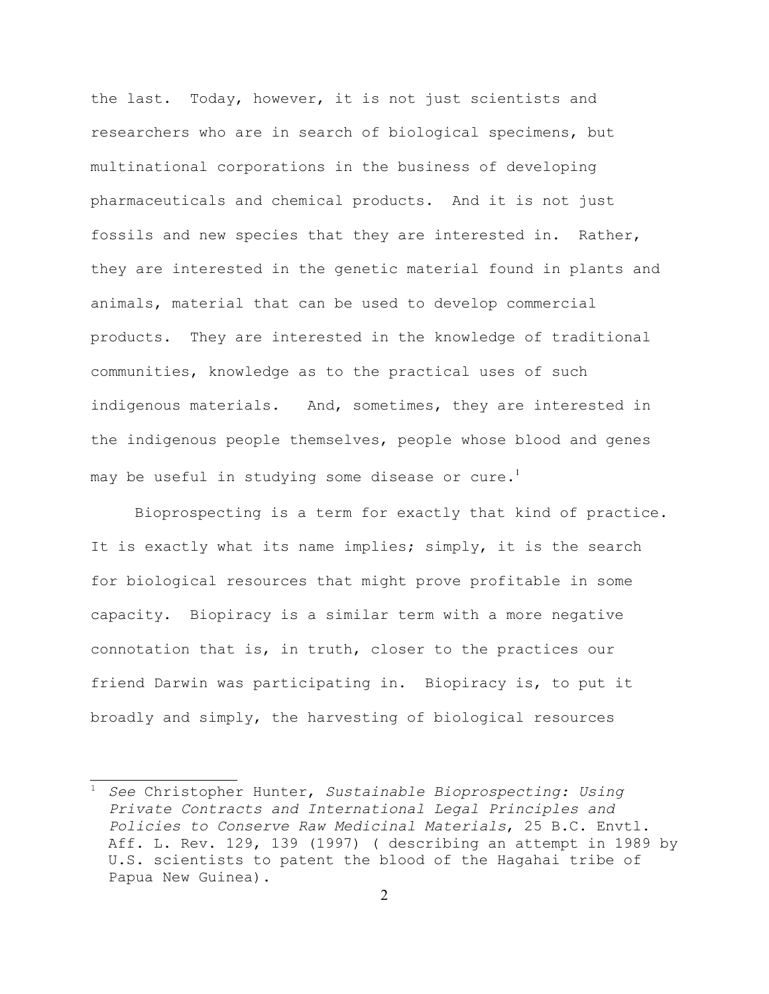the last. Today, however, it is not just scientists and researchers who are in search of biological specimens, but multinational corporations in the business of developing pharmaceuticals and chemical products. And it is not just fossils and new species that they are interested in. Rather, they are interested in the genetic material found in plants and animals, material that can be used to develop commercial products. They are interested in the knowledge of traditional communities, knowledge as to the practical uses of such indigenous materials. And, sometimes, they are interested in the indigenous people themselves, people whose blood and genes may be useful in studying some disease or cure.<sup>[1](#page-1-0)</sup>

Bioprospecting is a term for exactly that kind of practice. It is exactly what its name implies; simply, it is the search for biological resources that might prove profitable in some capacity. Biopiracy is a similar term with a more negative connotation that is, in truth, closer to the practices our friend Darwin was participating in. Biopiracy is, to put it broadly and simply, the harvesting of biological resources

<span id="page-1-0"></span><sup>1</sup> *See* Christopher Hunter, *Sustainable Bioprospecting: Using Private Contracts and International Legal Principles and Policies to Conserve Raw Medicinal Materials*, 25 B.C. Envtl. Aff. L. Rev. 129, 139 (1997) ( describing an attempt in 1989 by U.S. scientists to patent the blood of the Hagahai tribe of Papua New Guinea).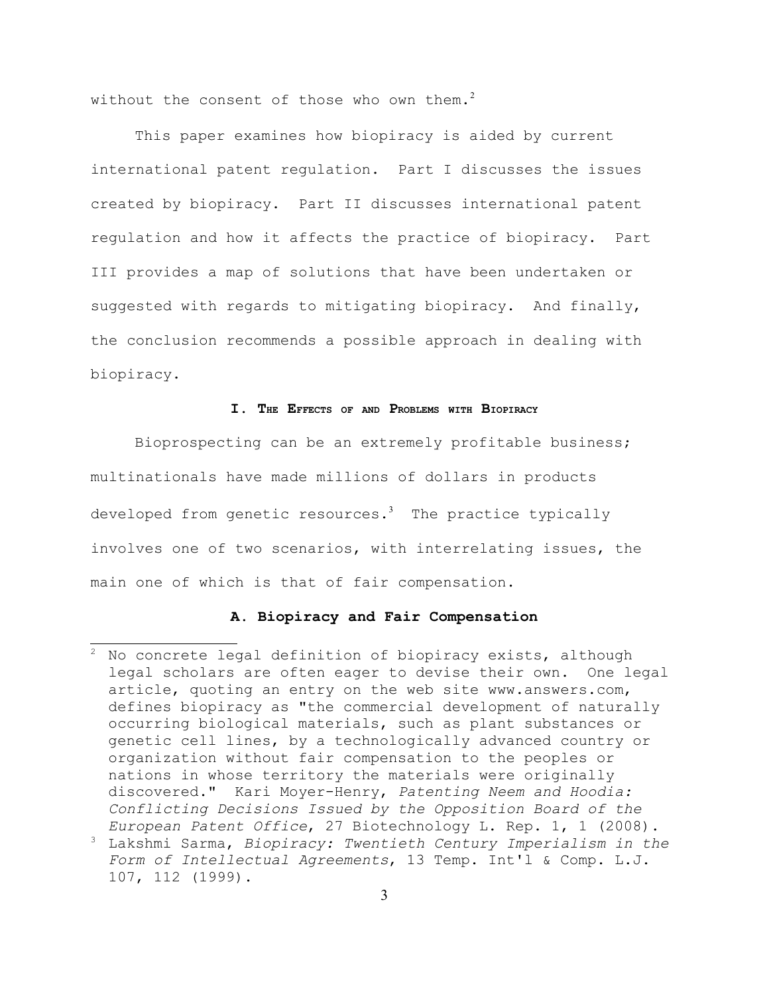without the consent of those who own them.<sup>[2](#page-2-0)</sup>

This paper examines how biopiracy is aided by current international patent regulation. Part I discusses the issues created by biopiracy. Part II discusses international patent regulation and how it affects the practice of biopiracy. Part III provides a map of solutions that have been undertaken or suggested with regards to mitigating biopiracy. And finally, the conclusion recommends a possible approach in dealing with biopiracy.

### **I. THE EFFECTS OF AND PROBLEMS WITH BIOPIRACY**

Bioprospecting can be an extremely profitable business; multinationals have made millions of dollars in products developed from genetic resources.<sup>[3](#page-2-1)</sup> The practice typically involves one of two scenarios, with interrelating issues, the main one of which is that of fair compensation.

#### **A. Biopiracy and Fair Compensation**

<span id="page-2-1"></span>107, 112 (1999).

<span id="page-2-0"></span><sup>2</sup> No concrete legal definition of biopiracy exists, although legal scholars are often eager to devise their own. One legal article, quoting an entry on the web site www.answers.com, defines biopiracy as "the commercial development of naturally occurring biological materials, such as plant substances or genetic cell lines, by a technologically advanced country or organization without fair compensation to the peoples or nations in whose territory the materials were originally discovered." Kari Moyer-Henry, *Patenting Neem and Hoodia: Conflicting Decisions Issued by the Opposition Board of the European Patent Office*, 27 Biotechnology L. Rep. 1, 1 (2008). <sup>3</sup> Lakshmi Sarma, *Biopiracy: Twentieth Century Imperialism in the Form of Intellectual Agreements*, 13 Temp. Int'l & Comp. L.J.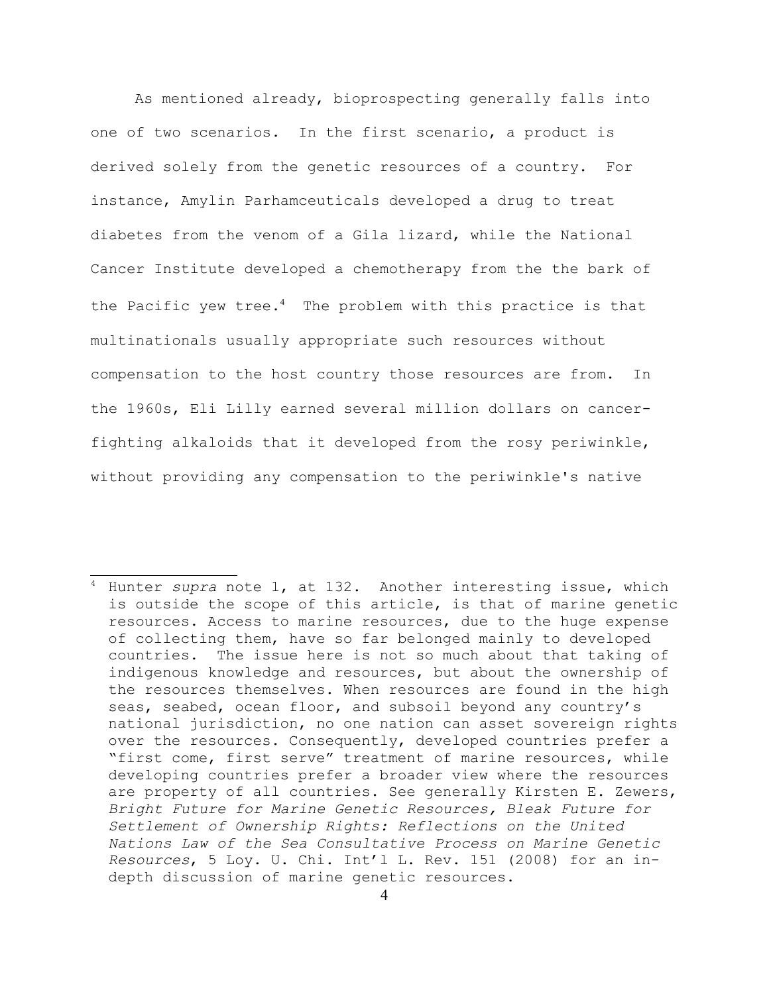As mentioned already, bioprospecting generally falls into one of two scenarios. In the first scenario, a product is derived solely from the genetic resources of a country. For instance, Amylin Parhamceuticals developed a drug to treat diabetes from the venom of a Gila lizard, while the National Cancer Institute developed a chemotherapy from the the bark of the Pacific yew tree.<sup>[4](#page-3-0)</sup> The problem with this practice is that multinationals usually appropriate such resources without compensation to the host country those resources are from. In the 1960s, Eli Lilly earned several million dollars on cancerfighting alkaloids that it developed from the rosy periwinkle, without providing any compensation to the periwinkle's native

<span id="page-3-0"></span><sup>4</sup> Hunter *supra* note 1, at 132. Another interesting issue, which is outside the scope of this article, is that of marine genetic resources. Access to marine resources, due to the huge expense of collecting them, have so far belonged mainly to developed countries. The issue here is not so much about that taking of indigenous knowledge and resources, but about the ownership of the resources themselves. When resources are found in the high seas, seabed, ocean floor, and subsoil beyond any country's national jurisdiction, no one nation can asset sovereign rights over the resources. Consequently, developed countries prefer a "first come, first serve" treatment of marine resources, while developing countries prefer a broader view where the resources are property of all countries. See generally Kirsten E. Zewers, *Bright Future for Marine Genetic Resources, Bleak Future for Settlement of Ownership Rights: Reflections on the United Nations Law of the Sea Consultative Process on Marine Genetic Resources*, 5 Loy. U. Chi. Int'l L. Rev. 151 (2008) for an indepth discussion of marine genetic resources.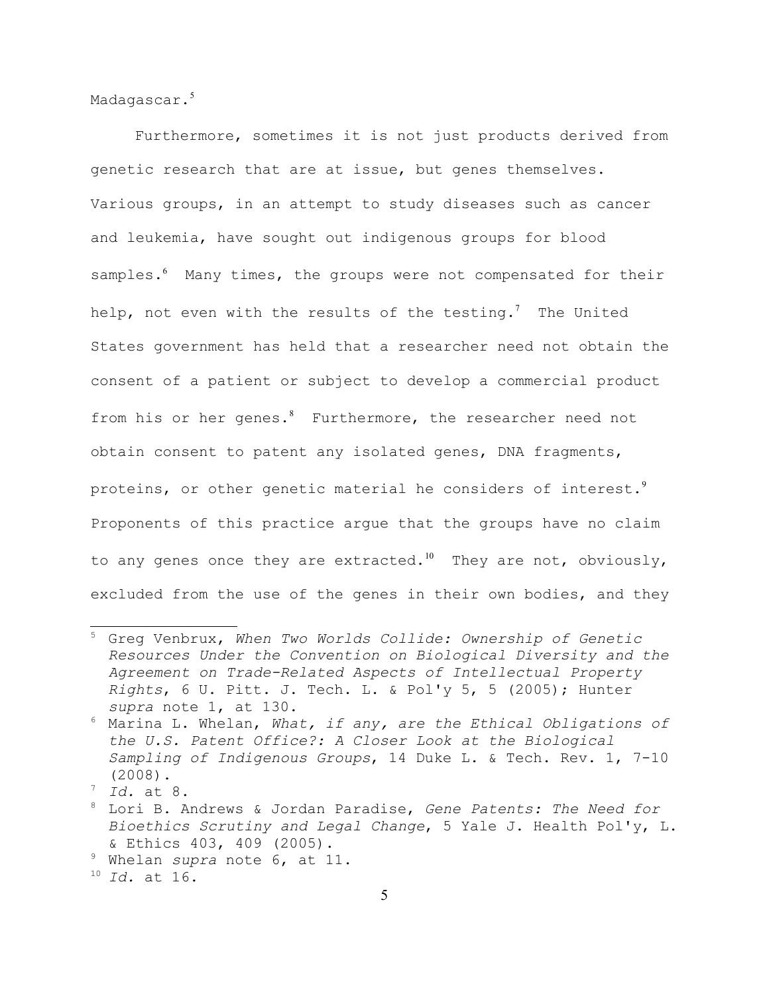Madagascar.<sup>[5](#page-4-0)</sup>

Furthermore, sometimes it is not just products derived from genetic research that are at issue, but genes themselves. Various groups, in an attempt to study diseases such as cancer and leukemia, have sought out indigenous groups for blood samples.<sup>[6](#page-4-1)</sup> Many times, the groups were not compensated for their help, not even with the results of the testing.<sup>[7](#page-4-2)</sup> The United States government has held that a researcher need not obtain the consent of a patient or subject to develop a commercial product from his or her genes.<sup>[8](#page-4-3)</sup> Furthermore, the researcher need not obtain consent to patent any isolated genes, DNA fragments, proteins, or other genetic material he considers of interest. $9$ Proponents of this practice argue that the groups have no claim to any genes once they are extracted.<sup>[10](#page-4-5)</sup> They are not, obviously, excluded from the use of the genes in their own bodies, and they

<span id="page-4-4"></span><sup>9</sup> Whelan *supra* note 6, at 11.

<span id="page-4-0"></span><sup>5</sup> Greg Venbrux, *When Two Worlds Collide: Ownership of Genetic Resources Under the Convention on Biological Diversity and the Agreement on Trade-Related Aspects of Intellectual Property Rights*, 6 U. Pitt. J. Tech. L. & Pol'y 5, 5 (2005); Hunter *supra* note 1, at 130.

<span id="page-4-1"></span><sup>6</sup> Marina L. Whelan, *What, if any, are the Ethical Obligations of the U.S. Patent Office?: A Closer Look at the Biological Sampling of Indigenous Groups*, 14 Duke L. & Tech. Rev. 1, 7-10 (2008).

<span id="page-4-2"></span><sup>7</sup> *Id.* at 8.

<span id="page-4-3"></span><sup>8</sup> Lori B. Andrews & Jordan Paradise, *Gene Patents: The Need for Bioethics Scrutiny and Legal Change*, 5 Yale J. Health Pol'y, L. & Ethics 403, 409 (2005).

<span id="page-4-5"></span><sup>10</sup> *Id.* at 16.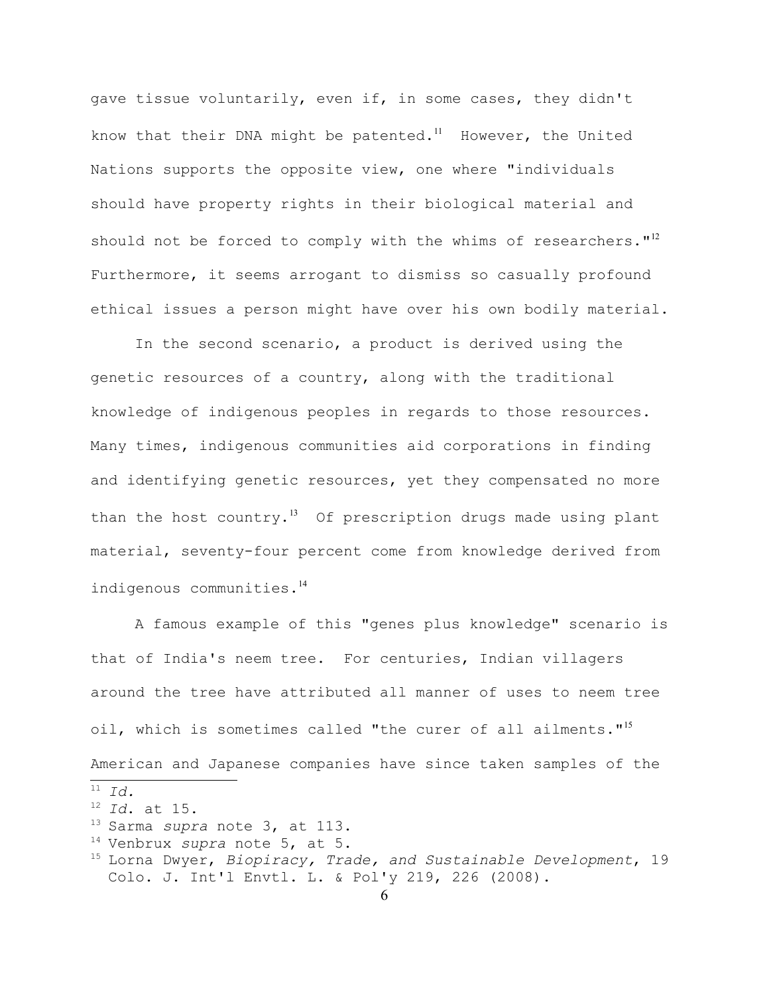gave tissue voluntarily, even if, in some cases, they didn't know that their DNA might be patented.<sup>[11](#page-5-0)</sup> However, the United Nations supports the opposite view, one where "individuals should have property rights in their biological material and should not be forced to comply with the whims of researchers." $12$ Furthermore, it seems arrogant to dismiss so casually profound ethical issues a person might have over his own bodily material.

In the second scenario, a product is derived using the genetic resources of a country, along with the traditional knowledge of indigenous peoples in regards to those resources. Many times, indigenous communities aid corporations in finding and identifying genetic resources, yet they compensated no more than the host country.<sup>[13](#page-5-2)</sup> Of prescription drugs made using plant material, seventy-four percent come from knowledge derived from indigenous communities.<sup>[14](#page-5-3)</sup>

A famous example of this "genes plus knowledge" scenario is that of India's neem tree. For centuries, Indian villagers around the tree have attributed all manner of uses to neem tree oil, which is sometimes called "the curer of all ailments."<sup>[15](#page-5-4)</sup> American and Japanese companies have since taken samples of the

<span id="page-5-0"></span><sup>11</sup> *Id.*

<span id="page-5-1"></span><sup>12</sup> *Id*. at 15.

<span id="page-5-2"></span><sup>13</sup> Sarma *supra* note 3, at 113.

<span id="page-5-3"></span><sup>14</sup> Venbrux *supra* note 5, at 5.

<span id="page-5-4"></span><sup>15</sup> Lorna Dwyer, *Biopiracy, Trade, and Sustainable Development*, 19 Colo. J. Int'l Envtl. L. & Pol'y 219, 226 (2008).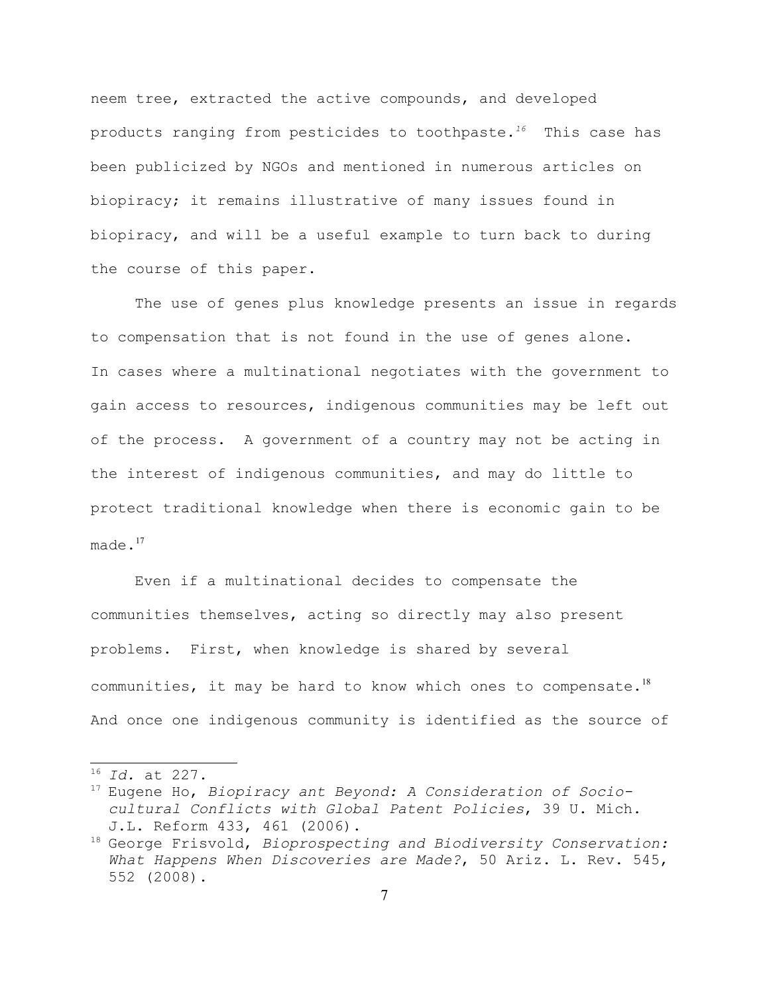neem tree, extracted the active compounds, and developed products ranging from pesticides to toothpaste.*[16](#page-6-0)* This case has been publicized by NGOs and mentioned in numerous articles on biopiracy; it remains illustrative of many issues found in biopiracy, and will be a useful example to turn back to during the course of this paper.

The use of genes plus knowledge presents an issue in regards to compensation that is not found in the use of genes alone. In cases where a multinational negotiates with the government to gain access to resources, indigenous communities may be left out of the process. A government of a country may not be acting in the interest of indigenous communities, and may do little to protect traditional knowledge when there is economic gain to be  $m =$ de. $17$ 

Even if a multinational decides to compensate the communities themselves, acting so directly may also present problems. First, when knowledge is shared by several communities, it may be hard to know which ones to compensate.<sup>[18](#page-6-2)</sup> And once one indigenous community is identified as the source of

<span id="page-6-0"></span><sup>16</sup> *Id.* at 227.

<span id="page-6-1"></span><sup>17</sup> Eugene Ho, *Biopiracy ant Beyond: A Consideration of Sociocultural Conflicts with Global Patent Policies*, 39 U. Mich. J.L. Reform 433, 461 (2006).

<span id="page-6-2"></span><sup>18</sup> George Frisvold, *Bioprospecting and Biodiversity Conservation: What Happens When Discoveries are Made?*, 50 Ariz. L. Rev. 545, 552 (2008).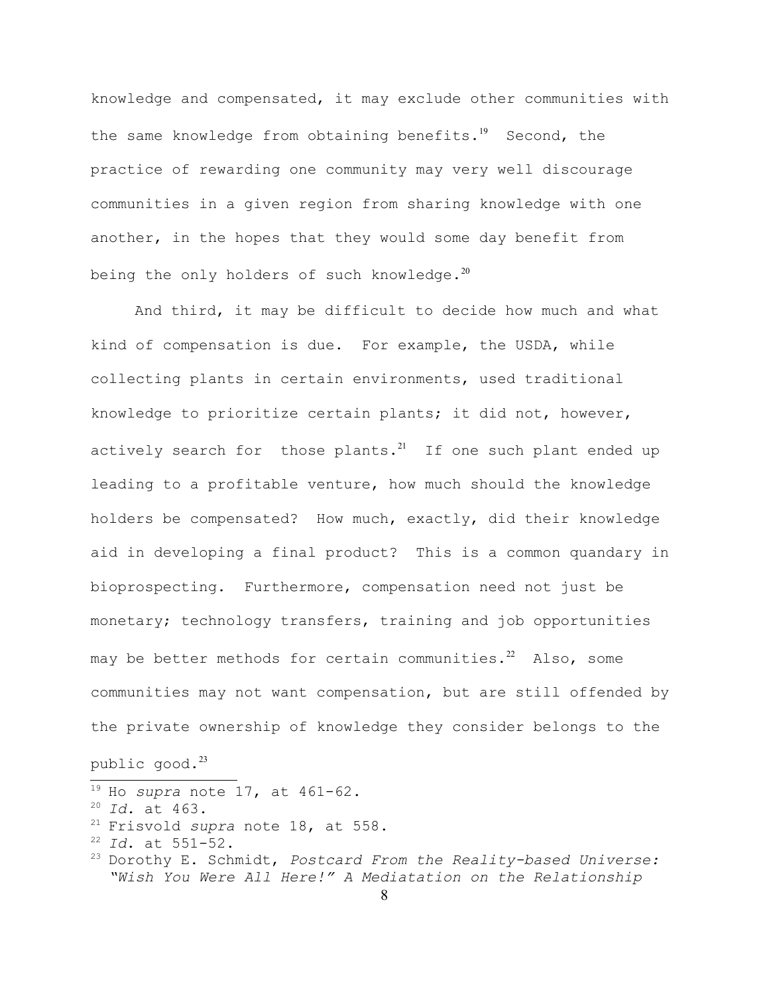knowledge and compensated, it may exclude other communities with the same knowledge from obtaining benefits.<sup>[19](#page-7-0)</sup> Second, the practice of rewarding one community may very well discourage communities in a given region from sharing knowledge with one another, in the hopes that they would some day benefit from being the only holders of such knowledge. $^{20}$  $^{20}$  $^{20}$ 

And third, it may be difficult to decide how much and what kind of compensation is due. For example, the USDA, while collecting plants in certain environments, used traditional knowledge to prioritize certain plants; it did not, however, actively search for those plants. $^{21}$  $^{21}$  $^{21}$  If one such plant ended up leading to a profitable venture, how much should the knowledge holders be compensated? How much, exactly, did their knowledge aid in developing a final product? This is a common quandary in bioprospecting. Furthermore, compensation need not just be monetary; technology transfers, training and job opportunities may be better methods for certain communities. $^{22}$  $^{22}$  $^{22}$  Also, some communities may not want compensation, but are still offended by the private ownership of knowledge they consider belongs to the

# public  $q$ ood. $^{23}$  $^{23}$  $^{23}$

```
19 Ho supra note 17, at 461-62.
20 Id. at 463.
21 Frisvold supra note 18, at 558.
22 Id. at 551-52.
23 Dorothy E. Schmidt, Postcard From the Reality-based Universe:
  "Wish You Were All Here!" A Mediatation on the Relationship
```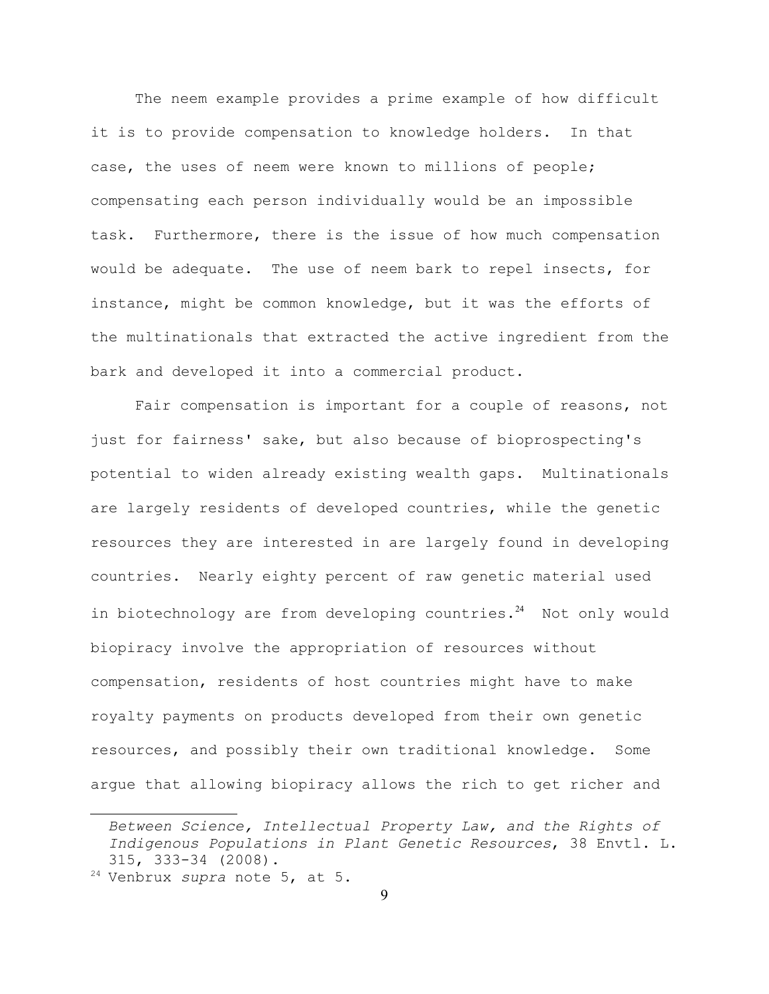The neem example provides a prime example of how difficult it is to provide compensation to knowledge holders. In that case, the uses of neem were known to millions of people; compensating each person individually would be an impossible task. Furthermore, there is the issue of how much compensation would be adequate. The use of neem bark to repel insects, for instance, might be common knowledge, but it was the efforts of the multinationals that extracted the active ingredient from the bark and developed it into a commercial product.

Fair compensation is important for a couple of reasons, not just for fairness' sake, but also because of bioprospecting's potential to widen already existing wealth gaps. Multinationals are largely residents of developed countries, while the genetic resources they are interested in are largely found in developing countries. Nearly eighty percent of raw genetic material used in biotechnology are from developing countries. $24$  Not only would biopiracy involve the appropriation of resources without compensation, residents of host countries might have to make royalty payments on products developed from their own genetic resources, and possibly their own traditional knowledge. Some argue that allowing biopiracy allows the rich to get richer and

*Between Science, Intellectual Property Law, and the Rights of Indigenous Populations in Plant Genetic Resources*, 38 Envtl. L. 315, 333-34 (2008).

<span id="page-8-0"></span><sup>24</sup> Venbrux *supra* note 5, at 5.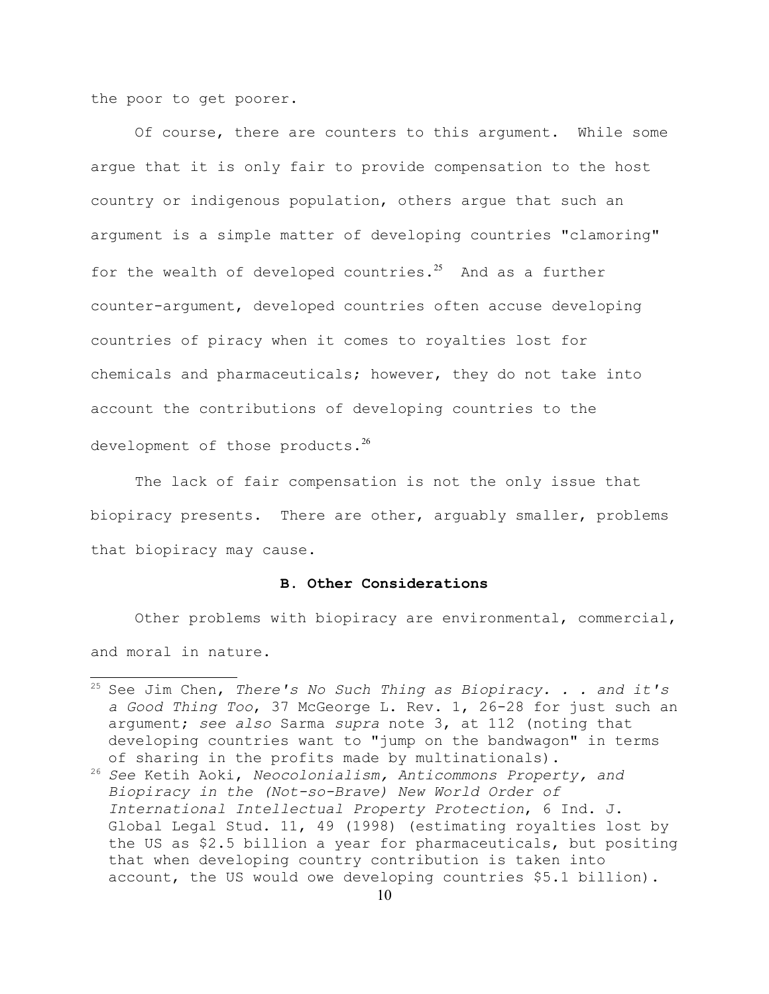the poor to get poorer.

Of course, there are counters to this argument. While some argue that it is only fair to provide compensation to the host country or indigenous population, others argue that such an argument is a simple matter of developing countries "clamoring" for the wealth of developed countries.<sup>[25](#page-9-0)</sup> And as a further counter-argument, developed countries often accuse developing countries of piracy when it comes to royalties lost for chemicals and pharmaceuticals; however, they do not take into account the contributions of developing countries to the development of those products. $^{26}$  $^{26}$  $^{26}$ 

The lack of fair compensation is not the only issue that biopiracy presents. There are other, arguably smaller, problems that biopiracy may cause.

### **B. Other Considerations**

Other problems with biopiracy are environmental, commercial, and moral in nature.

<span id="page-9-0"></span><sup>25</sup> See Jim Chen, *There's No Such Thing as Biopiracy. . . and it's a Good Thing Too*, 37 McGeorge L. Rev. 1, 26-28 for just such an argument; *see also* Sarma *supra* note 3, at 112 (noting that developing countries want to "jump on the bandwagon" in terms of sharing in the profits made by multinationals).

<span id="page-9-1"></span><sup>26</sup> *See* Ketih Aoki, *Neocolonialism, Anticommons Property, and Biopiracy in the (Not-so-Brave) New World Order of International Intellectual Property Protection*, 6 Ind. J. Global Legal Stud. 11, 49 (1998) (estimating royalties lost by the US as \$2.5 billion a year for pharmaceuticals, but positing that when developing country contribution is taken into account, the US would owe developing countries \$5.1 billion).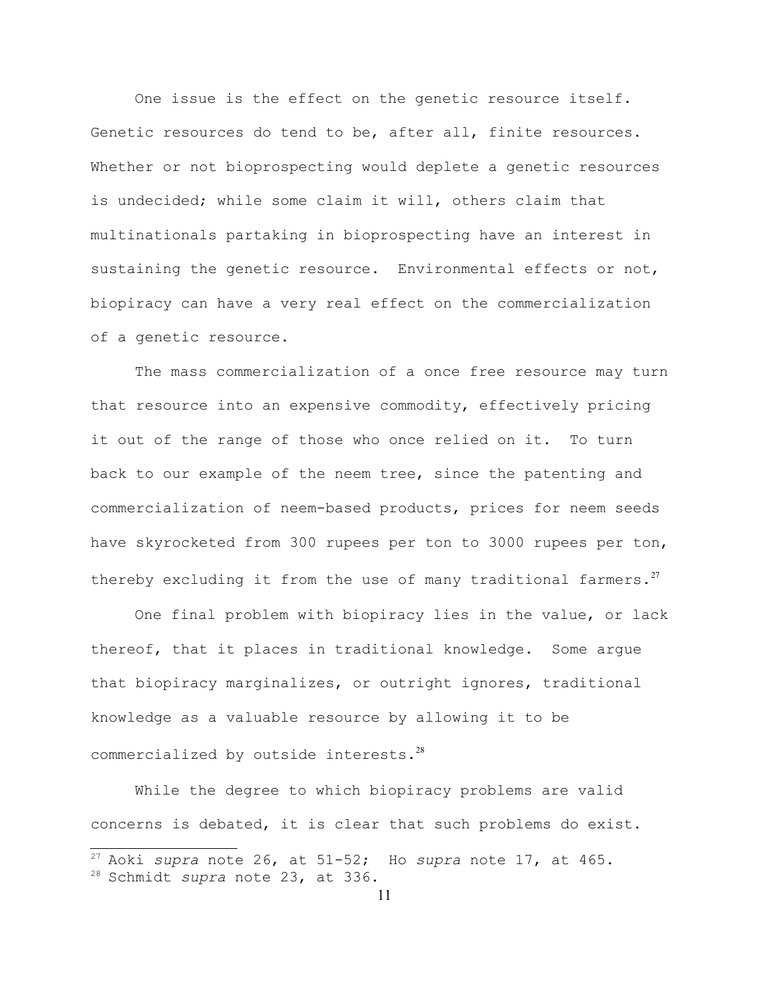One issue is the effect on the genetic resource itself. Genetic resources do tend to be, after all, finite resources. Whether or not bioprospecting would deplete a genetic resources is undecided; while some claim it will, others claim that multinationals partaking in bioprospecting have an interest in sustaining the genetic resource. Environmental effects or not, biopiracy can have a very real effect on the commercialization of a genetic resource.

The mass commercialization of a once free resource may turn that resource into an expensive commodity, effectively pricing it out of the range of those who once relied on it. To turn back to our example of the neem tree, since the patenting and commercialization of neem-based products, prices for neem seeds have skyrocketed from 300 rupees per ton to 3000 rupees per ton, thereby excluding it from the use of many traditional farmers. $^{27}$  $^{27}$  $^{27}$ 

One final problem with biopiracy lies in the value, or lack thereof, that it places in traditional knowledge. Some argue that biopiracy marginalizes, or outright ignores, traditional knowledge as a valuable resource by allowing it to be commercialized by outside interests.<sup>[28](#page-10-1)</sup>

While the degree to which biopiracy problems are valid concerns is debated, it is clear that such problems do exist.

<span id="page-10-0"></span><sup>27</sup> Aoki *supra* note 26, at 51-52; Ho *supra* note 17, at 465.

<span id="page-10-1"></span><sup>28</sup> Schmidt *supra* note 23, at 336.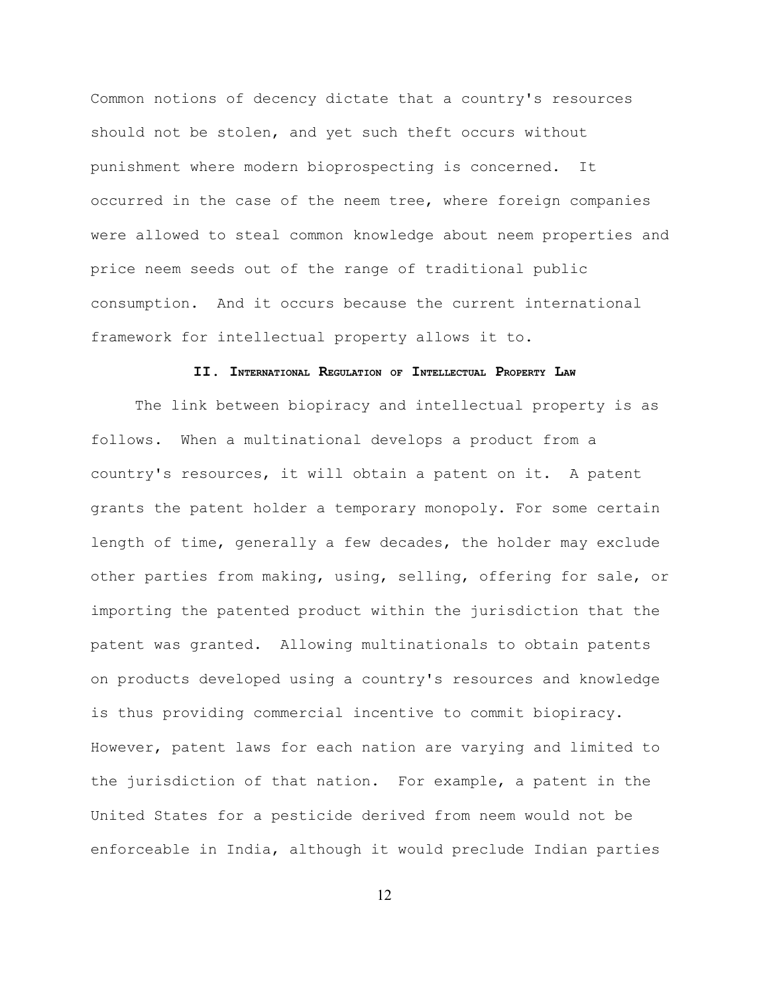Common notions of decency dictate that a country's resources should not be stolen, and yet such theft occurs without punishment where modern bioprospecting is concerned. It occurred in the case of the neem tree, where foreign companies were allowed to steal common knowledge about neem properties and price neem seeds out of the range of traditional public consumption. And it occurs because the current international framework for intellectual property allows it to.

#### **II. INTERNATIONAL REGULATION OF INTELLECTUAL PROPERTY LAW**

The link between biopiracy and intellectual property is as follows. When a multinational develops a product from a country's resources, it will obtain a patent on it. A patent grants the patent holder a temporary monopoly. For some certain length of time, generally a few decades, the holder may exclude other parties from making, using, selling, offering for sale, or importing the patented product within the jurisdiction that the patent was granted. Allowing multinationals to obtain patents on products developed using a country's resources and knowledge is thus providing commercial incentive to commit biopiracy. However, patent laws for each nation are varying and limited to the jurisdiction of that nation. For example, a patent in the United States for a pesticide derived from neem would not be enforceable in India, although it would preclude Indian parties

12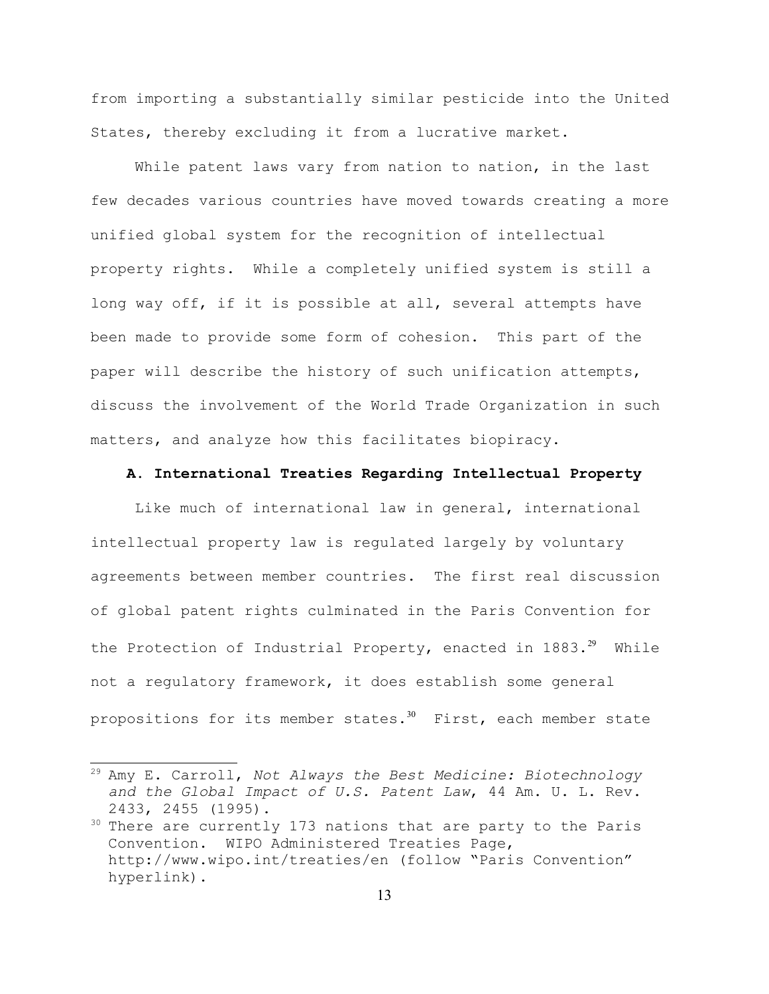from importing a substantially similar pesticide into the United States, thereby excluding it from a lucrative market.

While patent laws vary from nation to nation, in the last few decades various countries have moved towards creating a more unified global system for the recognition of intellectual property rights. While a completely unified system is still a long way off, if it is possible at all, several attempts have been made to provide some form of cohesion. This part of the paper will describe the history of such unification attempts, discuss the involvement of the World Trade Organization in such matters, and analyze how this facilitates biopiracy.

#### **A. International Treaties Regarding Intellectual Property**

Like much of international law in general, international intellectual property law is regulated largely by voluntary agreements between member countries. The first real discussion of global patent rights culminated in the Paris Convention for the Protection of Industrial Property, enacted in  $1883.^{29}$  $1883.^{29}$  $1883.^{29}$  While not a regulatory framework, it does establish some general propositions for its member states. $30$  First, each member state

<span id="page-12-0"></span><sup>29</sup> Amy E. Carroll, *Not Always the Best Medicine: Biotechnology and the Global Impact of U.S. Patent Law*, 44 Am. U. L. Rev. 2433, 2455 (1995).

<span id="page-12-1"></span> $30$  There are currently 173 nations that are party to the Paris Convention. WIPO Administered Treaties Page, http://www.wipo.int/treaties/en (follow "Paris Convention" hyperlink).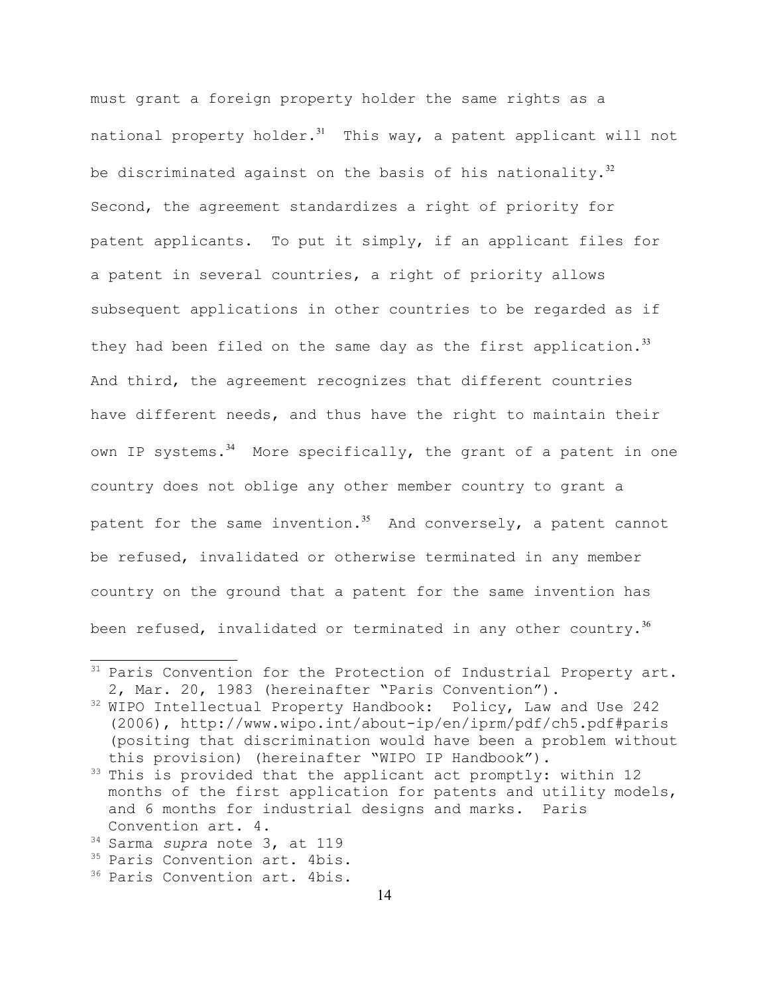must grant a foreign property holder the same rights as a national property holder. $31$  This way, a patent applicant will not be discriminated against on the basis of his nationality. $32$ Second, the agreement standardizes a right of priority for patent applicants. To put it simply, if an applicant files for a patent in several countries, a right of priority allows subsequent applications in other countries to be regarded as if they had been filed on the same day as the first application.<sup>[33](#page-13-2)</sup> And third, the agreement recognizes that different countries have different needs, and thus have the right to maintain their own IP systems. $34$  More specifically, the grant of a patent in one country does not oblige any other member country to grant a patent for the same invention.<sup>[35](#page-13-4)</sup> And conversely, a patent cannot be refused, invalidated or otherwise terminated in any member country on the ground that a patent for the same invention has been refused, invalidated or terminated in any other country. $36$ 

<span id="page-13-0"></span><sup>&</sup>lt;sup>31</sup> Paris Convention for the Protection of Industrial Property art. 2, Mar. 20, 1983 (hereinafter "Paris Convention").

<span id="page-13-1"></span><sup>&</sup>lt;sup>32</sup> WIPO Intellectual Property Handbook: Policy, Law and Use 242 (2006), http://www.wipo.int/about-ip/en/iprm/pdf/ch5.pdf#paris (positing that discrimination would have been a problem without this provision) (hereinafter "WIPO IP Handbook").

<span id="page-13-2"></span><sup>&</sup>lt;sup>33</sup> This is provided that the applicant act promptly: within 12 months of the first application for patents and utility models, and 6 months for industrial designs and marks. Paris Convention art. 4.

<span id="page-13-3"></span><sup>34</sup> Sarma *supra* note 3, at 119

<span id="page-13-4"></span><sup>&</sup>lt;sup>35</sup> Paris Convention art. 4bis.

<span id="page-13-5"></span><sup>&</sup>lt;sup>36</sup> Paris Convention art. 4bis.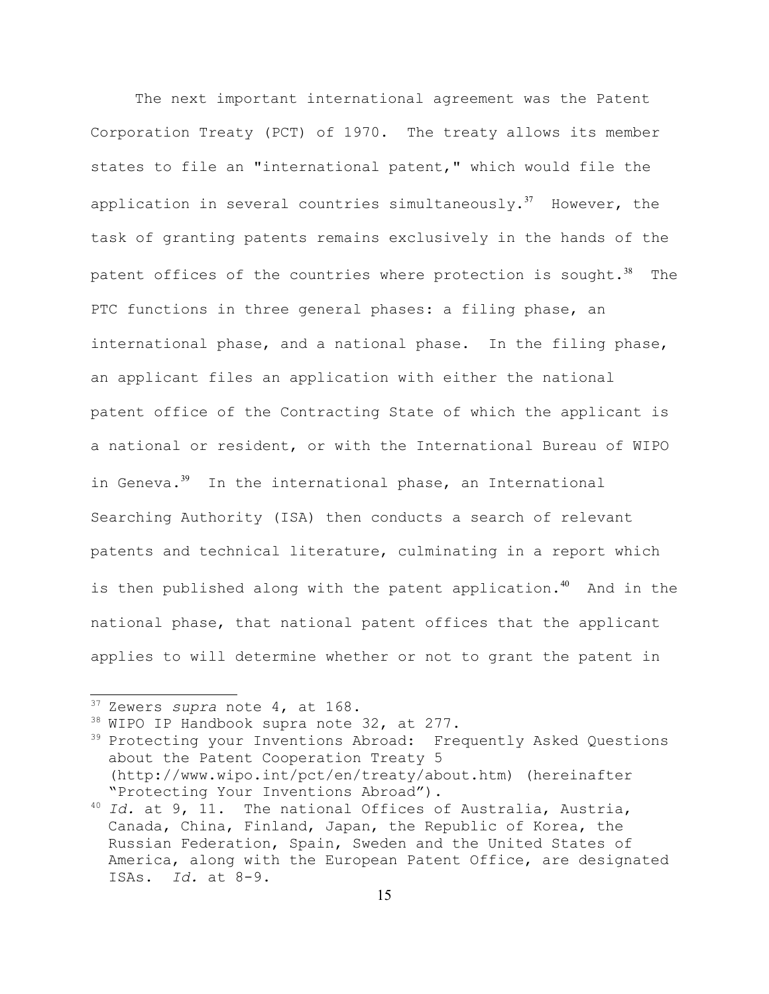The next important international agreement was the Patent Corporation Treaty (PCT) of 1970. The treaty allows its member states to file an "international patent," which would file the application in several countries simultaneously.<sup>[37](#page-14-0)</sup> However, the task of granting patents remains exclusively in the hands of the patent offices of the countries where protection is sought. $38$  The PTC functions in three general phases: a filing phase, an international phase, and a national phase. In the filing phase, an applicant files an application with either the national patent office of the Contracting State of which the applicant is a national or resident, or with the International Bureau of WIPO in Geneva. $39$  In the international phase, an International Searching Authority (ISA) then conducts a search of relevant patents and technical literature, culminating in a report which is then published along with the patent application.<sup>[40](#page-14-3)</sup> And in the national phase, that national patent offices that the applicant applies to will determine whether or not to grant the patent in

<span id="page-14-0"></span><sup>37</sup> Zewers *supra* note 4, at 168.

<span id="page-14-1"></span><sup>38</sup> WIPO IP Handbook supra note 32, at 277.

<span id="page-14-2"></span><sup>&</sup>lt;sup>39</sup> Protecting your Inventions Abroad: Frequently Asked Questions about the Patent Cooperation Treaty 5 (http://www.wipo.int/pct/en/treaty/about.htm) (hereinafter "Protecting Your Inventions Abroad").

<span id="page-14-3"></span><sup>40</sup> *Id.* at 9, 11. The national Offices of Australia, Austria, Canada, China, Finland, Japan, the Republic of Korea, the Russian Federation, Spain, Sweden and the United States of America, along with the European Patent Office, are designated ISAs. *Id.* at 8-9.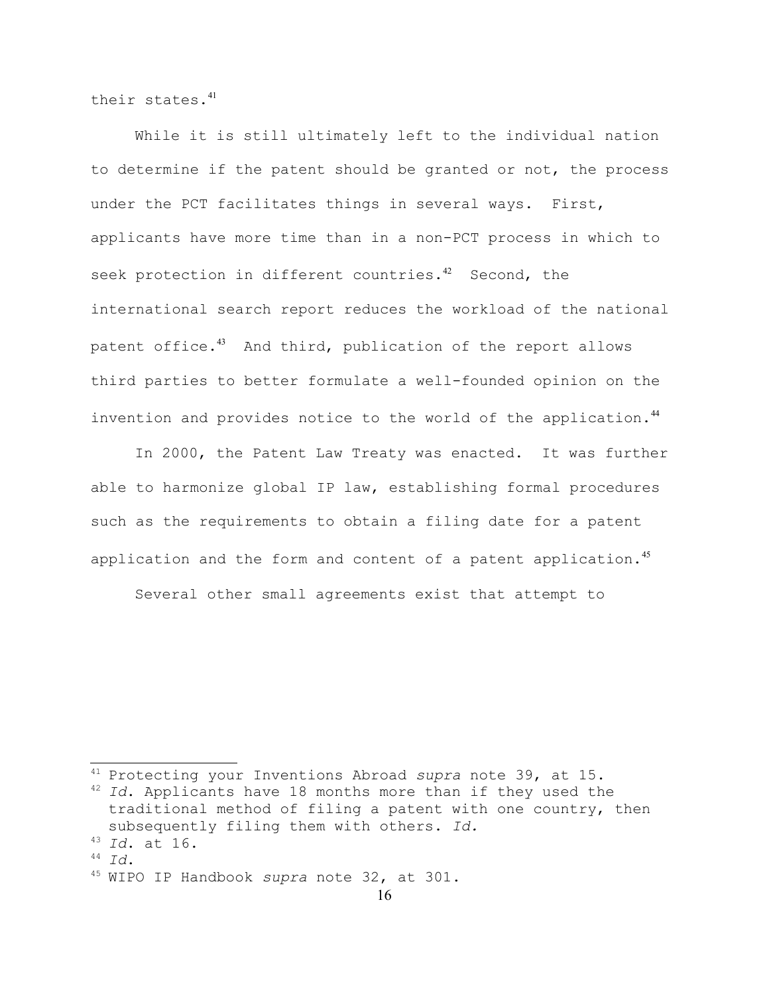their states.[41](#page-15-0)

While it is still ultimately left to the individual nation to determine if the patent should be granted or not, the process under the PCT facilitates things in several ways. First, applicants have more time than in a non-PCT process in which to seek protection in different countries. $42$  Second, the international search report reduces the workload of the national patent office.<sup>[43](#page-15-2)</sup> And third, publication of the report allows third parties to better formulate a well-founded opinion on the invention and provides notice to the world of the application.<sup>[44](#page-15-3)</sup>

In 2000, the Patent Law Treaty was enacted. It was further able to harmonize global IP law, establishing formal procedures such as the requirements to obtain a filing date for a patent application and the form and content of a patent application.<sup>[45](#page-15-4)</sup>

Several other small agreements exist that attempt to

<span id="page-15-3"></span><sup>44</sup> *Id*.

<span id="page-15-0"></span><sup>41</sup> Protecting your Inventions Abroad *supra* note 39, at 15.

<span id="page-15-1"></span><sup>42</sup> *Id*. Applicants have 18 months more than if they used the traditional method of filing a patent with one country, then subsequently filing them with others. *Id.*

<span id="page-15-2"></span><sup>43</sup> *Id*. at 16.

<span id="page-15-4"></span><sup>45</sup> WIPO IP Handbook *supra* note 32, at 301.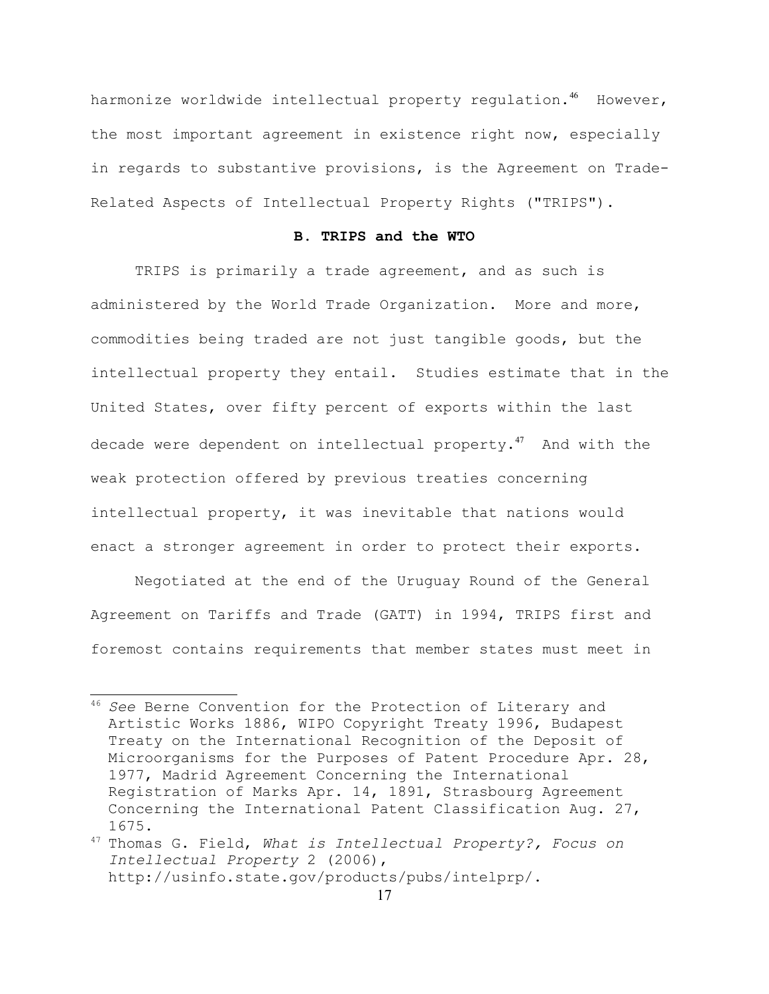harmonize worldwide intellectual property regulation.<sup>[46](#page-16-0)</sup> However, the most important agreement in existence right now, especially in regards to substantive provisions, is the Agreement on Trade-Related Aspects of Intellectual Property Rights ("TRIPS").

## **B. TRIPS and the WTO**

TRIPS is primarily a trade agreement, and as such is administered by the World Trade Organization. More and more, commodities being traded are not just tangible goods, but the intellectual property they entail. Studies estimate that in the United States, over fifty percent of exports within the last decade were dependent on intellectual property.<sup>[47](#page-16-1)</sup> And with the weak protection offered by previous treaties concerning intellectual property, it was inevitable that nations would enact a stronger agreement in order to protect their exports.

Negotiated at the end of the Uruguay Round of the General Agreement on Tariffs and Trade (GATT) in 1994, TRIPS first and foremost contains requirements that member states must meet in

<span id="page-16-0"></span><sup>46</sup> *See* Berne Convention for the Protection of Literary and Artistic Works 1886, WIPO Copyright Treaty 1996, Budapest Treaty on the International Recognition of the Deposit of Microorganisms for the Purposes of Patent Procedure Apr. 28, 1977, Madrid Agreement Concerning the International Registration of Marks Apr. 14, 1891, Strasbourg Agreement Concerning the International Patent Classification Aug. 27, 1675.

<span id="page-16-1"></span><sup>47</sup> Thomas G. Field, *What is Intellectual Property?, Focus on Intellectual Property* 2 (2006), http://usinfo.state.gov/products/pubs/intelprp/.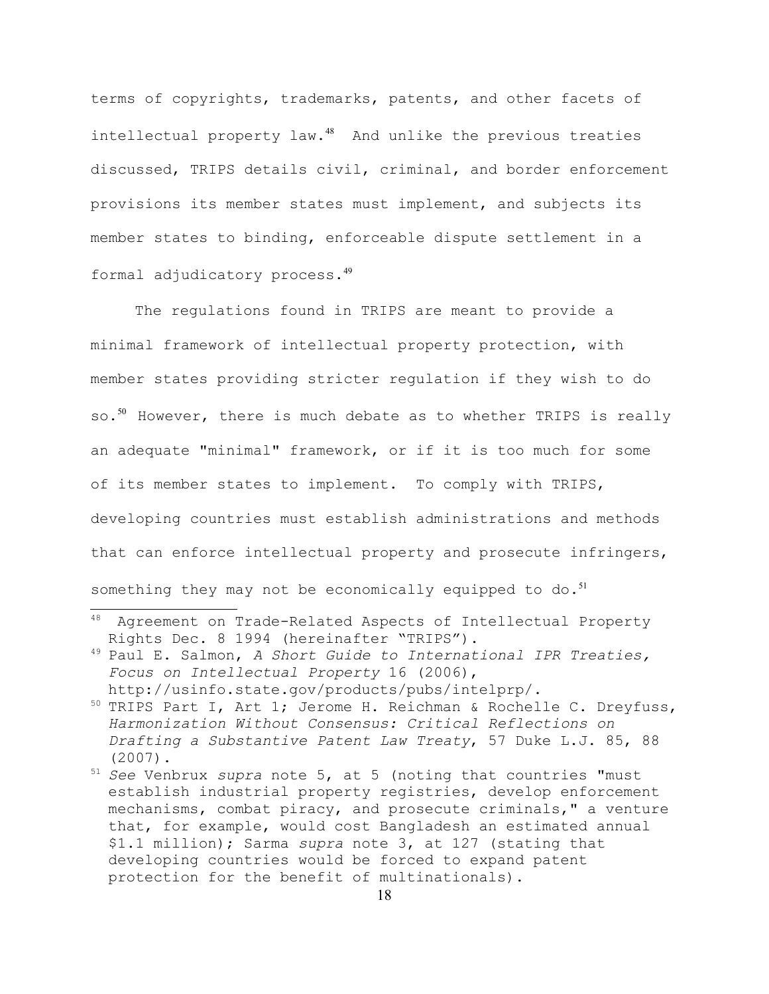terms of copyrights, trademarks, patents, and other facets of intellectual property law.<sup>[48](#page-17-0)</sup> And unlike the previous treaties discussed, TRIPS details civil, criminal, and border enforcement provisions its member states must implement, and subjects its member states to binding, enforceable dispute settlement in a formal adjudicatory process.[49](#page-17-1)

The regulations found in TRIPS are meant to provide a minimal framework of intellectual property protection, with member states providing stricter regulation if they wish to do so.<sup>[50](#page-17-2)</sup> However, there is much debate as to whether TRIPS is really an adequate "minimal" framework, or if it is too much for some of its member states to implement. To comply with TRIPS, developing countries must establish administrations and methods that can enforce intellectual property and prosecute infringers, something they may not be economically equipped to do. $^{51}$  $^{51}$  $^{51}$ 

<span id="page-17-0"></span><sup>48</sup> Agreement on Trade-Related Aspects of Intellectual Property Rights Dec. 8 1994 (hereinafter "TRIPS").

<span id="page-17-1"></span><sup>49</sup> Paul E. Salmon, *A Short Guide to International IPR Treaties, Focus on Intellectual Property* 16 (2006), http://usinfo.state.gov/products/pubs/intelprp/.

<span id="page-17-2"></span><sup>&</sup>lt;sup>50</sup> TRIPS Part I, Art 1; Jerome H. Reichman & Rochelle C. Dreyfuss, *Harmonization Without Consensus: Critical Reflections on Drafting a Substantive Patent Law Treaty*, 57 Duke L.J. 85, 88 (2007).

<span id="page-17-3"></span><sup>51</sup> *See* Venbrux *supra* note 5, at 5 (noting that countries "must establish industrial property registries, develop enforcement mechanisms, combat piracy, and prosecute criminals," a venture that, for example, would cost Bangladesh an estimated annual \$1.1 million); Sarma *supra* note 3, at 127 (stating that developing countries would be forced to expand patent protection for the benefit of multinationals).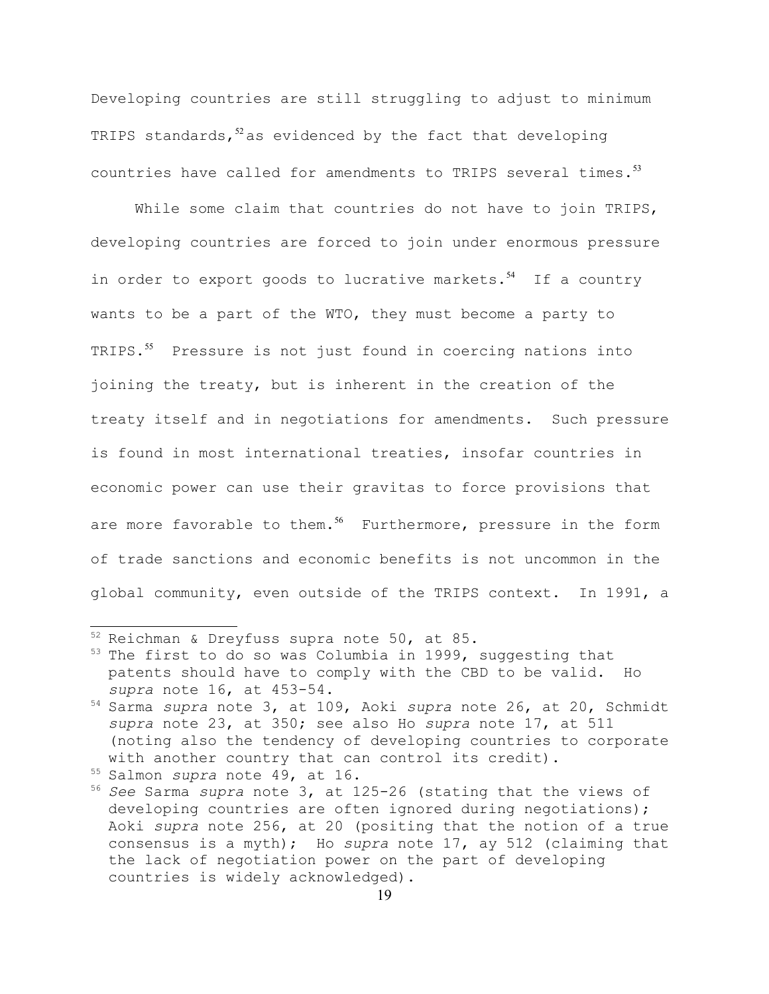Developing countries are still struggling to adjust to minimum TRIPS standards, $52$  as evidenced by the fact that developing countries have called for amendments to TRIPS several times. $^{53}$  $^{53}$  $^{53}$ 

While some claim that countries do not have to join TRIPS, developing countries are forced to join under enormous pressure in order to export goods to lucrative markets. $54$  If a country wants to be a part of the WTO, they must become a party to TRIPS.<sup>[55](#page-18-3)</sup> Pressure is not just found in coercing nations into joining the treaty, but is inherent in the creation of the treaty itself and in negotiations for amendments. Such pressure is found in most international treaties, insofar countries in economic power can use their gravitas to force provisions that are more favorable to them.<sup>[56](#page-18-4)</sup> Furthermore, pressure in the form of trade sanctions and economic benefits is not uncommon in the global community, even outside of the TRIPS context. In 1991, a

<span id="page-18-0"></span><sup>52</sup> Reichman & Dreyfuss supra note 50, at 85.

<span id="page-18-1"></span><sup>&</sup>lt;sup>53</sup> The first to do so was Columbia in 1999, suggesting that patents should have to comply with the CBD to be valid. Ho *supra* note 16, at 453-54.

<span id="page-18-2"></span><sup>54</sup> Sarma *supra* note 3, at 109, Aoki *supra* note 26, at 20, Schmidt *supra* note 23, at 350; see also Ho *supra* note 17, at 511 (noting also the tendency of developing countries to corporate with another country that can control its credit).

<span id="page-18-3"></span><sup>55</sup> Salmon *supra* note 49, at 16.

<span id="page-18-4"></span><sup>56</sup> *See* Sarma *supra* note 3, at 125-26 (stating that the views of developing countries are often ignored during negotiations); Aoki *supra* note 256, at 20 (positing that the notion of a true consensus is a myth); Ho *supra* note 17, ay 512 (claiming that the lack of negotiation power on the part of developing countries is widely acknowledged).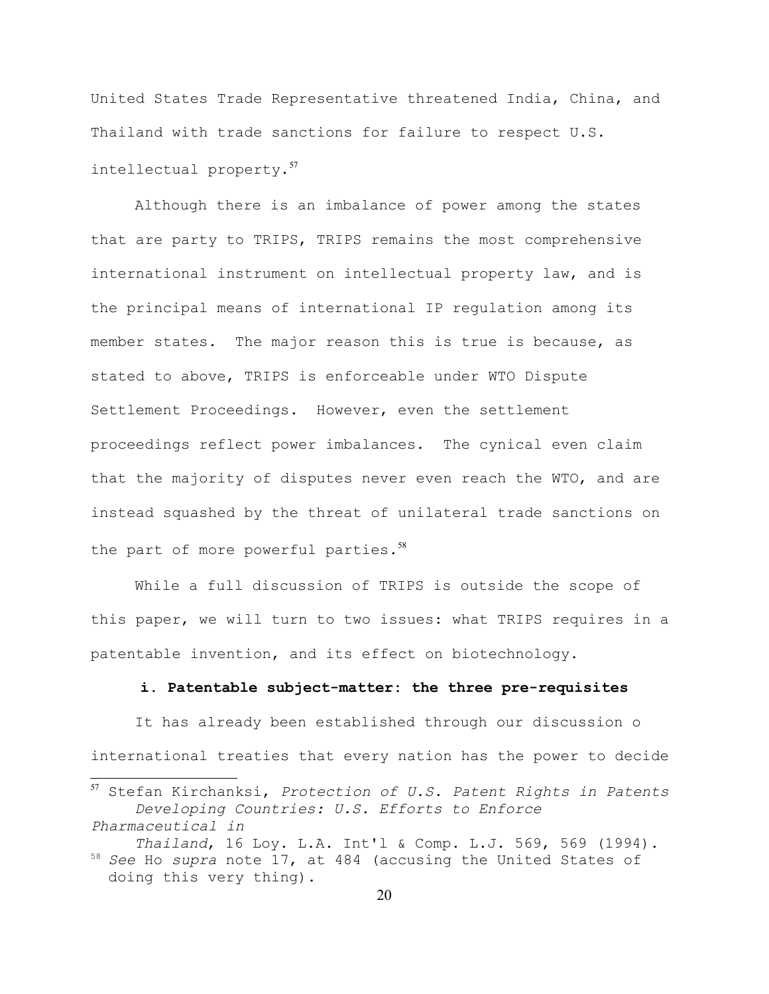United States Trade Representative threatened India, China, and Thailand with trade sanctions for failure to respect U.S. intellectual property.[57](#page-19-0)

Although there is an imbalance of power among the states that are party to TRIPS, TRIPS remains the most comprehensive international instrument on intellectual property law, and is the principal means of international IP regulation among its member states. The major reason this is true is because, as stated to above, TRIPS is enforceable under WTO Dispute Settlement Proceedings. However, even the settlement proceedings reflect power imbalances. The cynical even claim that the majority of disputes never even reach the WTO, and are instead squashed by the threat of unilateral trade sanctions on the part of more powerful parties.<sup>[58](#page-19-1)</sup>

While a full discussion of TRIPS is outside the scope of this paper, we will turn to two issues: what TRIPS requires in a patentable invention, and its effect on biotechnology.

### **i. Patentable subject-matter: the three pre-requisites**

It has already been established through our discussion o international treaties that every nation has the power to decide

<span id="page-19-0"></span><sup>57</sup> Stefan Kirchanksi, *Protection of U.S. Patent Rights in Patents Developing Countries: U.S. Efforts to Enforce Pharmaceutical in* 

<span id="page-19-1"></span>*Thailand*, 16 Loy. L.A. Int'l & Comp. L.J. 569, 569 (1994). <sup>58</sup> *See* Ho *supra* note 17, at 484 (accusing the United States of doing this very thing).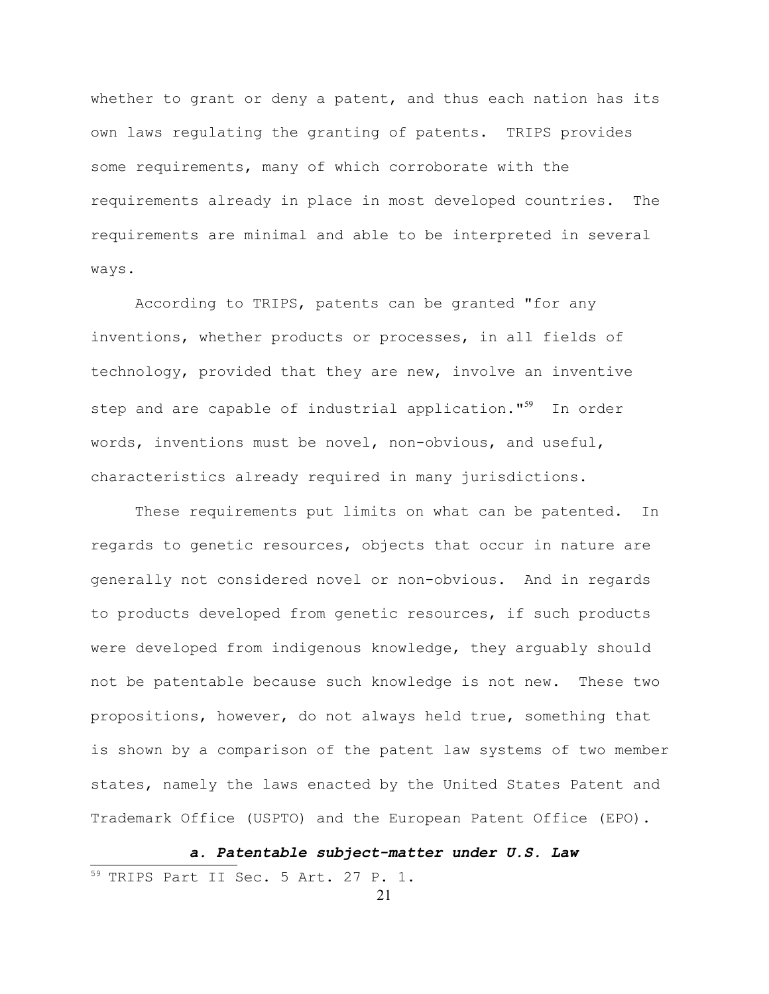whether to grant or deny a patent, and thus each nation has its own laws regulating the granting of patents. TRIPS provides some requirements, many of which corroborate with the requirements already in place in most developed countries. The requirements are minimal and able to be interpreted in several ways.

According to TRIPS, patents can be granted "for any inventions, whether products or processes, in all fields of technology, provided that they are new, involve an inventive step and are capable of industrial application."<sup>[59](#page-20-0)</sup> In order words, inventions must be novel, non-obvious, and useful, characteristics already required in many jurisdictions.

These requirements put limits on what can be patented. In regards to genetic resources, objects that occur in nature are generally not considered novel or non-obvious. And in regards to products developed from genetic resources, if such products were developed from indigenous knowledge, they arguably should not be patentable because such knowledge is not new. These two propositions, however, do not always held true, something that is shown by a comparison of the patent law systems of two member states, namely the laws enacted by the United States Patent and Trademark Office (USPTO) and the European Patent Office (EPO).

*a. Patentable subject-matter under U.S. Law*

<span id="page-20-0"></span><sup>59</sup> TRIPS Part II Sec. 5 Art. 27 P. 1.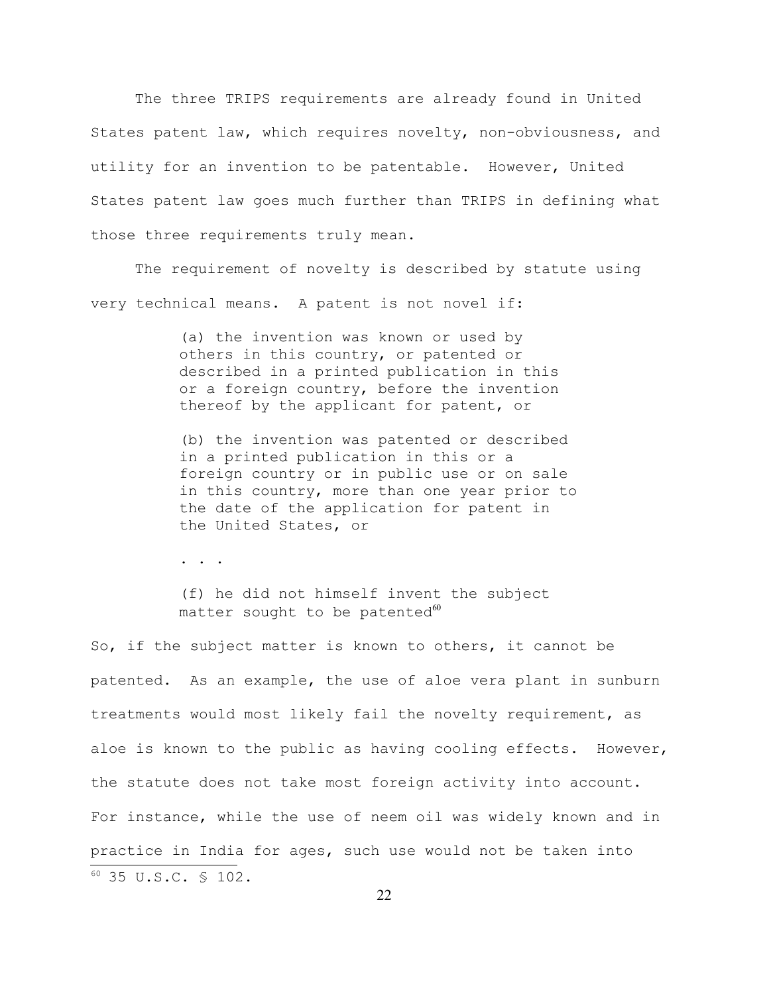The three TRIPS requirements are already found in United States patent law, which requires novelty, non-obviousness, and utility for an invention to be patentable. However, United States patent law goes much further than TRIPS in defining what those three requirements truly mean.

The requirement of novelty is described by statute using very technical means. A patent is not novel if:

> (a) the invention was known or used by others in this country, or patented or described in a printed publication in this or a foreign country, before the invention thereof by the applicant for patent, or

(b) the invention was patented or described in a printed publication in this or a foreign country or in public use or on sale in this country, more than one year prior to the date of the application for patent in the United States, or

. . .

(f) he did not himself invent the subject matter sought to be patented $60$ 

<span id="page-21-0"></span>So, if the subject matter is known to others, it cannot be patented. As an example, the use of aloe vera plant in sunburn treatments would most likely fail the novelty requirement, as aloe is known to the public as having cooling effects. However, the statute does not take most foreign activity into account. For instance, while the use of neem oil was widely known and in practice in India for ages, such use would not be taken into <sup>60</sup> 35 U.S.C. § 102.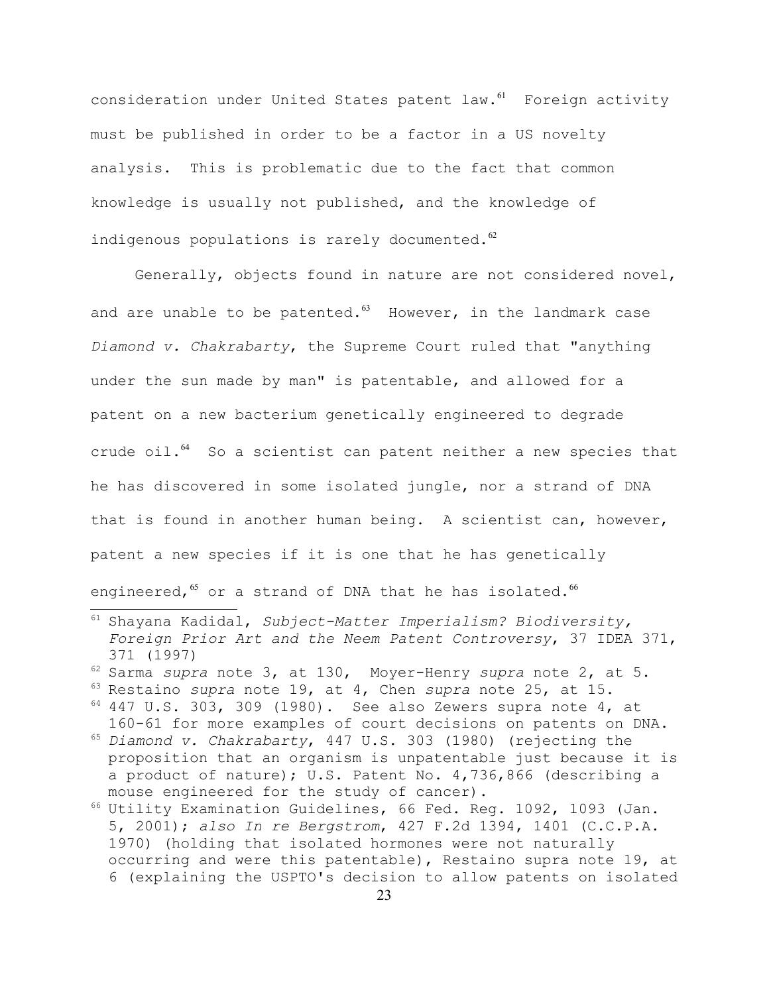consideration under United States patent law.<sup>[61](#page-22-0)</sup> Foreign activity must be published in order to be a factor in a US novelty analysis. This is problematic due to the fact that common knowledge is usually not published, and the knowledge of indigenous populations is rarely documented. $62$ 

Generally, objects found in nature are not considered novel, and are unable to be patented. $^{63}$  $^{63}$  $^{63}$  However, in the landmark case *Diamond v. Chakrabarty*, the Supreme Court ruled that "anything under the sun made by man" is patentable, and allowed for a patent on a new bacterium genetically engineered to degrade crude oil. $64$  So a scientist can patent neither a new species that he has discovered in some isolated jungle, nor a strand of DNA that is found in another human being. A scientist can, however, patent a new species if it is one that he has genetically engineered,<sup>[65](#page-22-4)</sup> or a strand of DNA that he has isolated.<sup>[66](#page-22-5)</sup>

- <span id="page-22-4"></span><sup>65</sup> *Diamond v. Chakrabarty*, 447 U.S. 303 (1980) (rejecting the proposition that an organism is unpatentable just because it is a product of nature); U.S. Patent No. 4,736,866 (describing a mouse engineered for the study of cancer).
- <span id="page-22-5"></span><sup>66</sup> Utility Examination Guidelines, 66 Fed. Reg. 1092, 1093 (Jan. 5, 2001); *also In re Bergstrom*, 427 F.2d 1394, 1401 (C.C.P.A. 1970) (holding that isolated hormones were not naturally occurring and were this patentable), Restaino supra note 19, at 6 (explaining the USPTO's decision to allow patents on isolated

<span id="page-22-0"></span><sup>61</sup> Shayana Kadidal, *Subject-Matter Imperialism? Biodiversity, Foreign Prior Art and the Neem Patent Controversy*, 37 IDEA 371, 371 (1997)

<span id="page-22-2"></span><span id="page-22-1"></span><sup>62</sup> Sarma *supra* note 3, at 130, Moyer-Henry *supra* note 2, at 5. <sup>63</sup> Restaino *supra* note 19, at 4, Chen *supra* note 25, at 15.

<span id="page-22-3"></span> $64$  447 U.S. 303, 309 (1980). See also Zewers supra note 4, at 160-61 for more examples of court decisions on patents on DNA.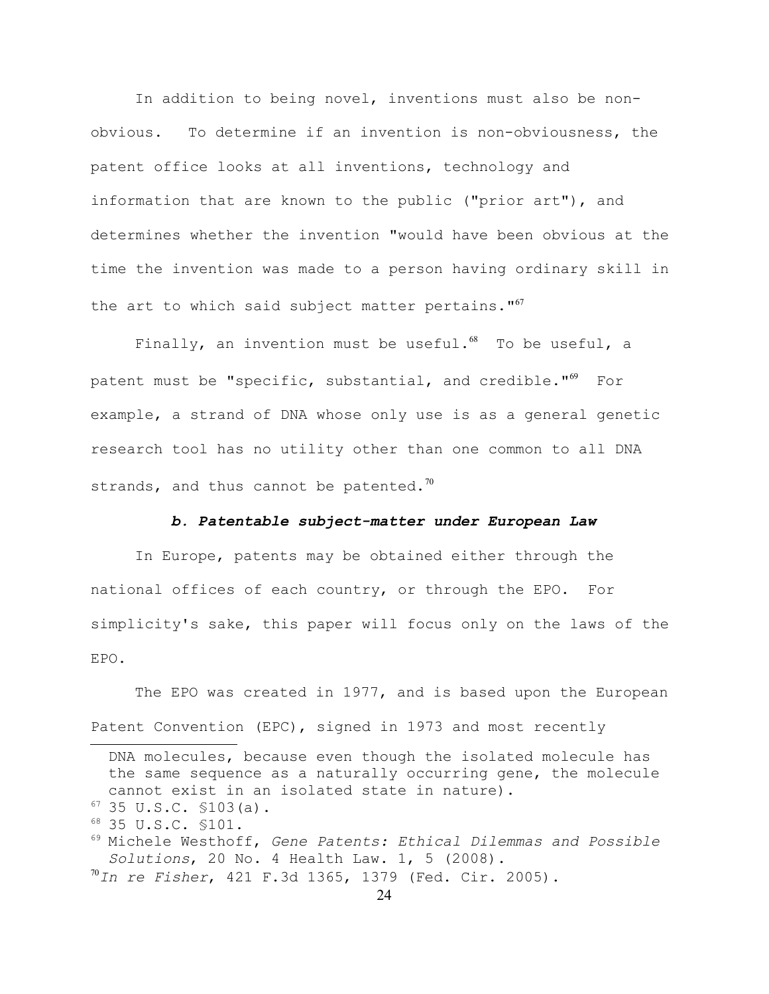In addition to being novel, inventions must also be nonobvious. To determine if an invention is non-obviousness, the patent office looks at all inventions, technology and information that are known to the public ("prior art"), and determines whether the invention "would have been obvious at the time the invention was made to a person having ordinary skill in the art to which said subject matter pertains.  $167$  $167$ 

Finally, an invention must be useful. $^{68}$  $^{68}$  $^{68}$  To be useful, a patent must be "specific, substantial, and credible."<sup>[69](#page-23-2)</sup> For example, a strand of DNA whose only use is as a general genetic research tool has no utility other than one common to all DNA strands, and thus cannot be patented.<sup>[70](#page-23-3)</sup>

### *b. Patentable subject-matter under European Law*

In Europe, patents may be obtained either through the national offices of each country, or through the EPO. For simplicity's sake, this paper will focus only on the laws of the EPO.

The EPO was created in 1977, and is based upon the European Patent Convention (EPC), signed in 1973 and most recently

<span id="page-23-0"></span> $67$  35 U.S.C.  $$103(a)$ .

DNA molecules, because even though the isolated molecule has the same sequence as a naturally occurring gene, the molecule cannot exist in an isolated state in nature).

<span id="page-23-1"></span><sup>68</sup> 35 U.S.C. §101.

<span id="page-23-2"></span><sup>69</sup> Michele Westhoff, *Gene Patents: Ethical Dilemmas and Possible Solutions*, 20 No. 4 Health Law. 1, 5 (2008).

<span id="page-23-3"></span><sup>70</sup>*In re Fisher*, 421 F.3d 1365, 1379 (Fed. Cir. 2005).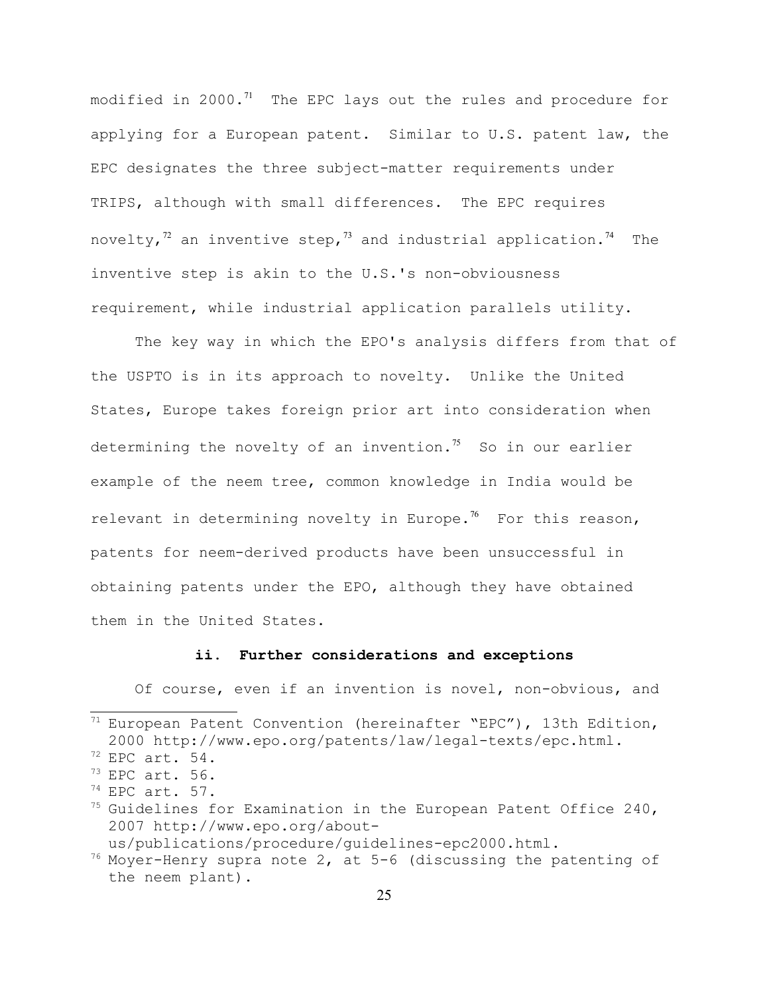modified in 2000. $71$  The EPC lays out the rules and procedure for applying for a European patent. Similar to U.S. patent law, the EPC designates the three subject-matter requirements under TRIPS, although with small differences. The EPC requires novelty,<sup>[72](#page-24-1)</sup> an inventive step,<sup>[73](#page-24-2)</sup> and industrial application.<sup>[74](#page-24-3)</sup> The inventive step is akin to the U.S.'s non-obviousness requirement, while industrial application parallels utility.

The key way in which the EPO's analysis differs from that of the USPTO is in its approach to novelty. Unlike the United States, Europe takes foreign prior art into consideration when determining the novelty of an invention.<sup>[75](#page-24-4)</sup> So in our earlier example of the neem tree, common knowledge in India would be relevant in determining novelty in Europe.<sup>[76](#page-24-5)</sup> For this reason, patents for neem-derived products have been unsuccessful in obtaining patents under the EPO, although they have obtained them in the United States.

## **ii. Further considerations and exceptions**

Of course, even if an invention is novel, non-obvious, and

<span id="page-24-0"></span> $71$  European Patent Convention (hereinafter "EPC"), 13th Edition, 2000 http://www.epo.org/patents/law/legal-texts/epc.html.

<span id="page-24-1"></span> $72$  EPC art. 54.

<span id="page-24-2"></span> $73$  EPC art. 56.

<span id="page-24-3"></span> $74$  EPC art. 57.

<span id="page-24-4"></span> $75$  Guidelines for Examination in the European Patent Office 240, 2007 http://www.epo.org/about-

<span id="page-24-5"></span>us/publications/procedure/guidelines-epc2000.html.

 $76$  Moyer-Henry supra note 2, at 5-6 (discussing the patenting of the neem plant).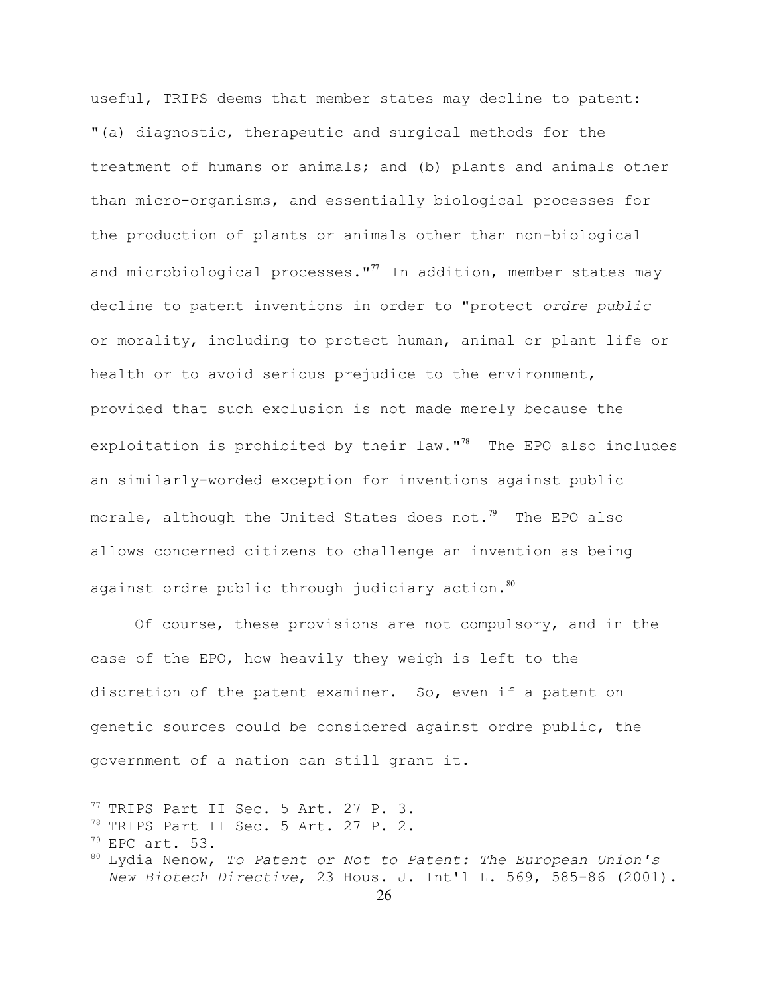useful, TRIPS deems that member states may decline to patent: "(a) diagnostic, therapeutic and surgical methods for the treatment of humans or animals; and (b) plants and animals other than micro-organisms, and essentially biological processes for the production of plants or animals other than non-biological and microbiological processes."<sup>[77](#page-25-0)</sup> In addition, member states may decline to patent inventions in order to "protect *ordre public* or morality, including to protect human, animal or plant life or health or to avoid serious prejudice to the environment, provided that such exclusion is not made merely because the exploitation is prohibited by their law." $78$  The EPO also includes an similarly-worded exception for inventions against public morale, although the United States does not.<sup>[79](#page-25-2)</sup> The EPO also allows concerned citizens to challenge an invention as being against ordre public through judiciary action. $80$ 

Of course, these provisions are not compulsory, and in the case of the EPO, how heavily they weigh is left to the discretion of the patent examiner. So, even if a patent on genetic sources could be considered against ordre public, the government of a nation can still grant it.

<span id="page-25-0"></span><sup>77</sup> TRIPS Part II Sec. 5 Art. 27 P. 3.

<span id="page-25-1"></span><sup>&</sup>lt;sup>78</sup> TRIPS Part II Sec. 5 Art. 27 P. 2.

<span id="page-25-2"></span> $79$  EPC art. 53.

<span id="page-25-3"></span><sup>80</sup> Lydia Nenow, *To Patent or Not to Patent: The European Union's New Biotech Directive*, 23 Hous. J. Int'l L. 569, 585-86 (2001).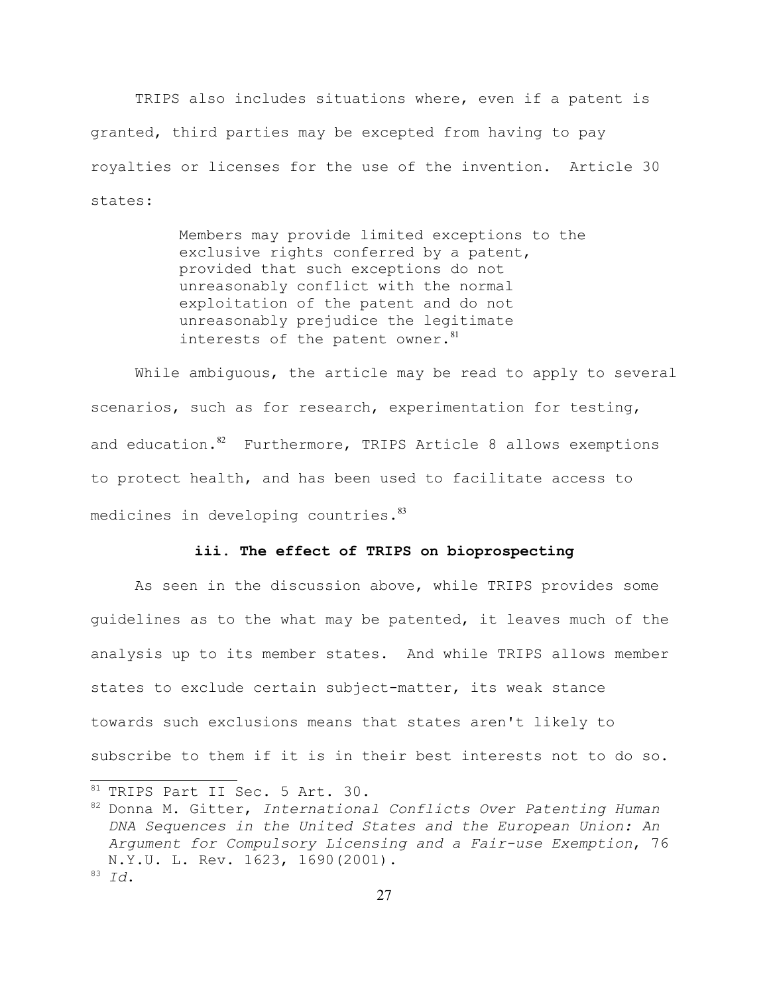TRIPS also includes situations where, even if a patent is granted, third parties may be excepted from having to pay royalties or licenses for the use of the invention. Article 30 states:

> Members may provide limited exceptions to the exclusive rights conferred by a patent, provided that such exceptions do not unreasonably conflict with the normal exploitation of the patent and do not unreasonably prejudice the legitimate interests of the patent owner. $81$

While ambiguous, the article may be read to apply to several scenarios, such as for research, experimentation for testing, and education.<sup>[82](#page-26-1)</sup> Furthermore, TRIPS Article 8 allows exemptions to protect health, and has been used to facilitate access to medicines in developing countries.<sup>[83](#page-26-2)</sup>

### **iii. The effect of TRIPS on bioprospecting**

As seen in the discussion above, while TRIPS provides some guidelines as to the what may be patented, it leaves much of the analysis up to its member states. And while TRIPS allows member states to exclude certain subject-matter, its weak stance towards such exclusions means that states aren't likely to subscribe to them if it is in their best interests not to do so.

<span id="page-26-0"></span><sup>81</sup> TRIPS Part II Sec. 5 Art. 30.

<span id="page-26-2"></span><span id="page-26-1"></span><sup>82</sup> Donna M. Gitter, *International Conflicts Over Patenting Human DNA Sequences in the United States and the European Union: An Argument for Compulsory Licensing and a Fair-use Exemption*, 76 N.Y.U. L. Rev. 1623, 1690(2001). <sup>83</sup> *Id*.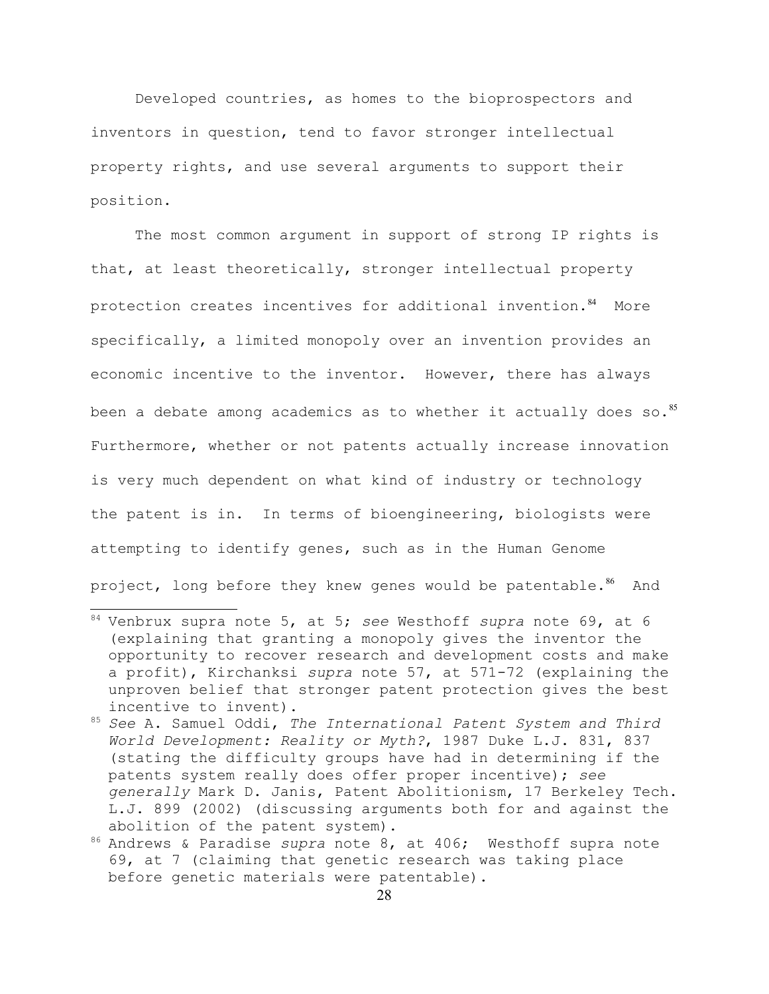Developed countries, as homes to the bioprospectors and inventors in question, tend to favor stronger intellectual property rights, and use several arguments to support their position.

The most common argument in support of strong IP rights is that, at least theoretically, stronger intellectual property protection creates incentives for additional invention.<sup>[84](#page-27-0)</sup> More specifically, a limited monopoly over an invention provides an economic incentive to the inventor. However, there has always been a debate among academics as to whether it actually does so.<sup>[85](#page-27-1)</sup> Furthermore, whether or not patents actually increase innovation is very much dependent on what kind of industry or technology the patent is in. In terms of bioengineering, biologists were attempting to identify genes, such as in the Human Genome project, long before they knew genes would be patentable.<sup>[86](#page-27-2)</sup> And

<span id="page-27-0"></span><sup>84</sup> Venbrux supra note 5, at 5; *see* Westhoff *supra* note 69, at 6 (explaining that granting a monopoly gives the inventor the opportunity to recover research and development costs and make a profit), Kirchanksi *supra* note 57, at 571-72 (explaining the unproven belief that stronger patent protection gives the best incentive to invent).

<span id="page-27-1"></span><sup>85</sup> *See* A. Samuel Oddi, *The International Patent System and Third World Development: Reality or Myth?*, 1987 Duke L.J. 831, 837 (stating the difficulty groups have had in determining if the patents system really does offer proper incentive); *see generally* Mark D. Janis, Patent Abolitionism, 17 Berkeley Tech. L.J. 899 (2002) (discussing arguments both for and against the abolition of the patent system).

<span id="page-27-2"></span><sup>86</sup> Andrews & Paradise *supra* note 8, at 406; Westhoff supra note 69, at 7 (claiming that genetic research was taking place before genetic materials were patentable).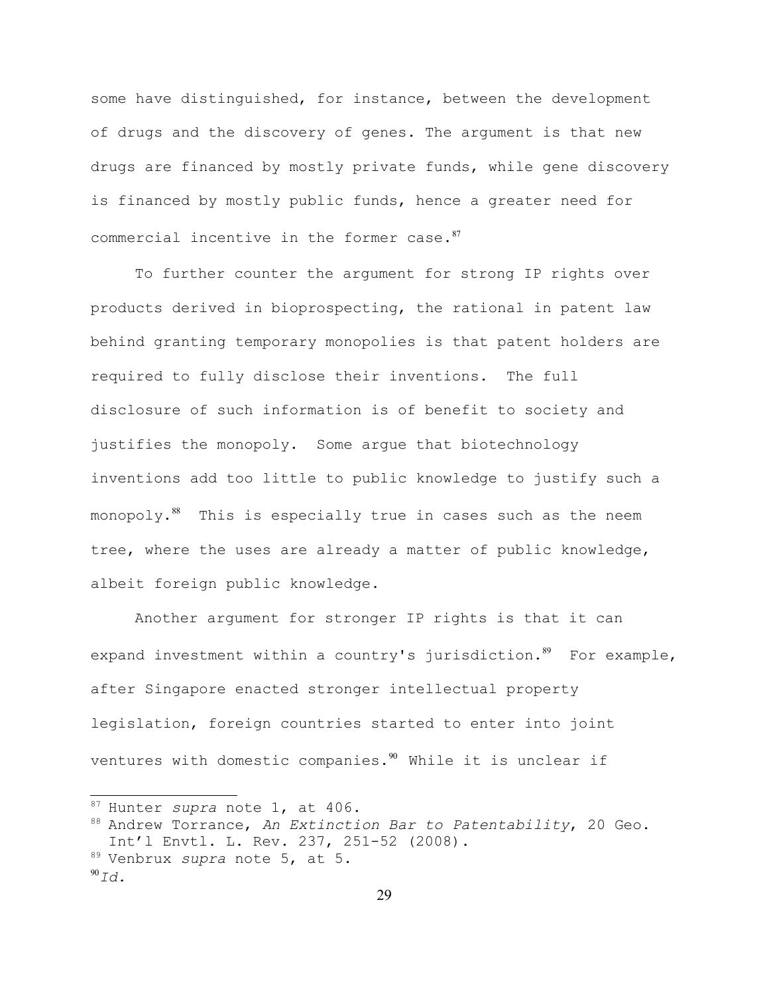some have distinguished, for instance, between the development of drugs and the discovery of genes. The argument is that new drugs are financed by mostly private funds, while gene discovery is financed by mostly public funds, hence a greater need for commercial incentive in the former case.<sup>[87](#page-28-0)</sup>

To further counter the argument for strong IP rights over products derived in bioprospecting, the rational in patent law behind granting temporary monopolies is that patent holders are required to fully disclose their inventions. The full disclosure of such information is of benefit to society and justifies the monopoly. Some argue that biotechnology inventions add too little to public knowledge to justify such a monopoly.<sup>[88](#page-28-1)</sup> This is especially true in cases such as the neem tree, where the uses are already a matter of public knowledge, albeit foreign public knowledge.

Another argument for stronger IP rights is that it can expand investment within a country's jurisdiction. $89$  For example, after Singapore enacted stronger intellectual property legislation, foreign countries started to enter into joint ventures with domestic companies. $90$  While it is unclear if

<span id="page-28-0"></span><sup>87</sup> Hunter *supra* note 1, at 406.

<span id="page-28-1"></span><sup>88</sup> Andrew Torrance, *An Extinction Bar to Patentability*, 20 Geo. Int'l Envtl. L. Rev. 237, 251-52 (2008).

<span id="page-28-2"></span><sup>89</sup> Venbrux *supra* note 5, at 5.

<span id="page-28-3"></span> $^{90}Id.$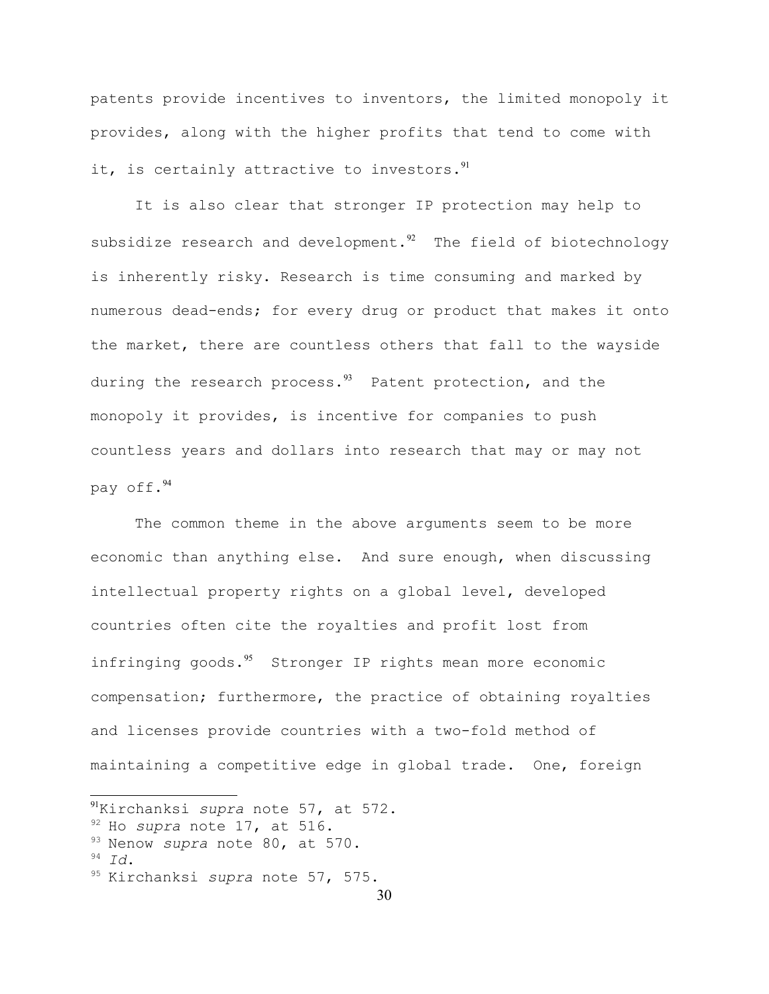patents provide incentives to inventors, the limited monopoly it provides, along with the higher profits that tend to come with it, is certainly attractive to investors. $91$ 

It is also clear that stronger IP protection may help to subsidize research and development. $92$  The field of biotechnology is inherently risky. Research is time consuming and marked by numerous dead-ends; for every drug or product that makes it onto the market, there are countless others that fall to the wayside during the research process. $93$  Patent protection, and the monopoly it provides, is incentive for companies to push countless years and dollars into research that may or may not pay off.[94](#page-29-3)

The common theme in the above arguments seem to be more economic than anything else. And sure enough, when discussing intellectual property rights on a global level, developed countries often cite the royalties and profit lost from infringing goods. $95$  Stronger IP rights mean more economic compensation; furthermore, the practice of obtaining royalties and licenses provide countries with a two-fold method of maintaining a competitive edge in global trade. One, foreign

<span id="page-29-3"></span><sup>94</sup> *Id*.

<span id="page-29-0"></span><sup>91</sup>Kirchanksi *supra* note 57, at 572.

<span id="page-29-1"></span><sup>92</sup> Ho *supra* note 17, at 516.

<span id="page-29-2"></span><sup>93</sup> Nenow *supra* note 80, at 570.

<span id="page-29-4"></span><sup>95</sup> Kirchanksi *supra* note 57, 575.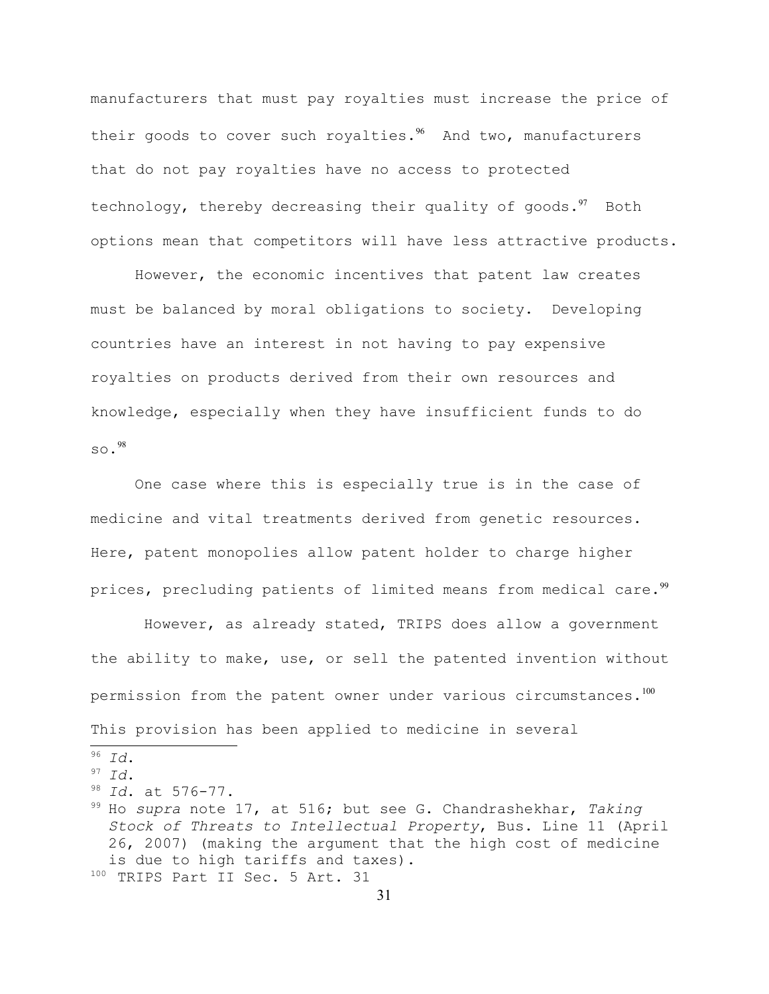manufacturers that must pay royalties must increase the price of their goods to cover such royalties. $96$  And two, manufacturers that do not pay royalties have no access to protected technology, thereby decreasing their quality of goods. $97$  Both options mean that competitors will have less attractive products.

However, the economic incentives that patent law creates must be balanced by moral obligations to society. Developing countries have an interest in not having to pay expensive royalties on products derived from their own resources and knowledge, especially when they have insufficient funds to do  $SO.98$  $SO.98$ 

One case where this is especially true is in the case of medicine and vital treatments derived from genetic resources. Here, patent monopolies allow patent holder to charge higher prices, precluding patients of limited means from medical care.<sup>[99](#page-30-3)</sup>

However, as already stated, TRIPS does allow a government the ability to make, use, or sell the patented invention without permission from the patent owner under various circumstances. $^{100}$  $^{100}$  $^{100}$ This provision has been applied to medicine in several

<span id="page-30-0"></span><sup>96</sup> *Id*.

<span id="page-30-1"></span><sup>97</sup> *Id*.

<span id="page-30-2"></span><sup>98</sup> *Id*. at 576-77.

<span id="page-30-4"></span><span id="page-30-3"></span><sup>99</sup> Ho *supra* note 17, at 516; but see G. Chandrashekhar, *Taking Stock of Threats to Intellectual Property*, Bus. Line 11 (April 26, 2007) (making the argument that the high cost of medicine is due to high tariffs and taxes). 100 TRIPS Part II Sec. 5 Art. 31

<sup>31</sup>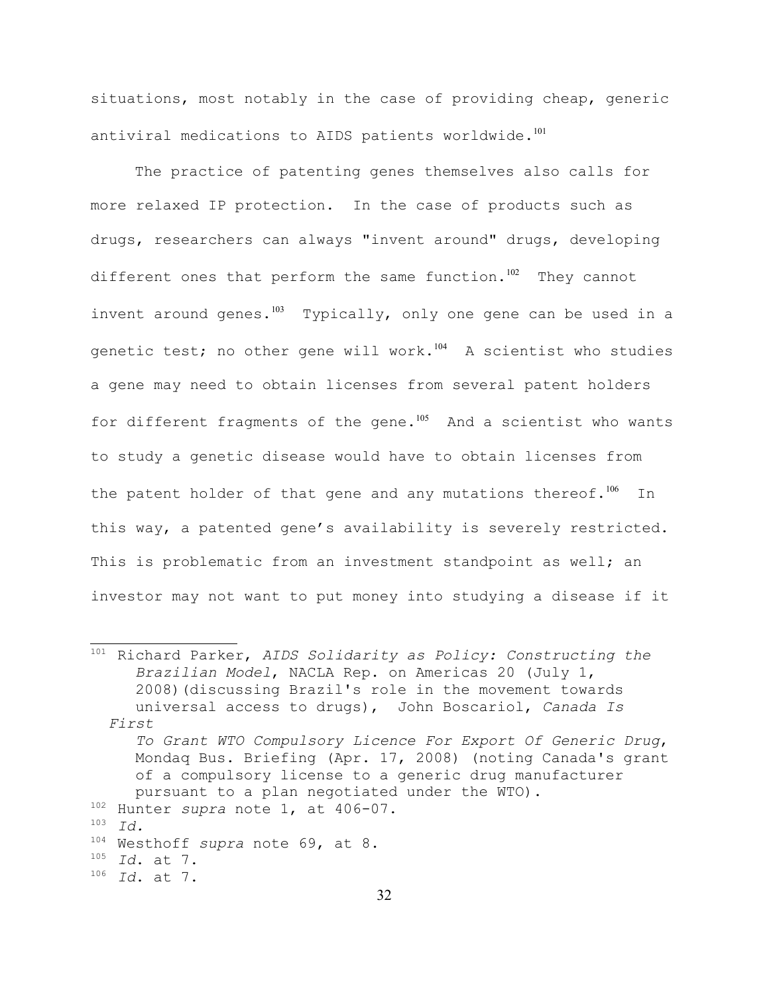situations, most notably in the case of providing cheap, generic antiviral medications to AIDS patients worldwide.<sup>[101](#page-31-0)</sup>

The practice of patenting genes themselves also calls for more relaxed IP protection. In the case of products such as drugs, researchers can always "invent around" drugs, developing different ones that perform the same function.<sup>[102](#page-31-1)</sup> They cannot invent around genes.<sup>[103](#page-31-2)</sup> Typically, only one gene can be used in a genetic test; no other gene will work. $104$  A scientist who studies a gene may need to obtain licenses from several patent holders for different fragments of the gene. $105$  And a scientist who wants to study a genetic disease would have to obtain licenses from the patent holder of that gene and any mutations thereof.<sup>[106](#page-31-5)</sup> In this way, a patented gene's availability is severely restricted. This is problematic from an investment standpoint as well; an investor may not want to put money into studying a disease if it

<span id="page-31-5"></span><span id="page-31-4"></span><span id="page-31-3"></span><span id="page-31-2"></span><span id="page-31-1"></span><span id="page-31-0"></span><sup>101</sup> Richard Parker, *AIDS Solidarity as Policy: Constructing the Brazilian Model*, NACLA Rep. on Americas 20 (July 1, 2008)(discussing Brazil's role in the movement towards universal access to drugs), John Boscariol, *Canada Is First To Grant WTO Compulsory Licence For Export Of Generic Drug*, Mondaq Bus. Briefing (Apr. 17, 2008) (noting Canada's grant of a compulsory license to a generic drug manufacturer pursuant to a plan negotiated under the WTO). <sup>102</sup> Hunter *supra* note 1, at 406-07. <sup>103</sup> *Id.* <sup>104</sup> Westhoff *supra* note 69, at 8. <sup>105</sup> *Id*. at 7. <sup>106</sup> *Id*. at 7.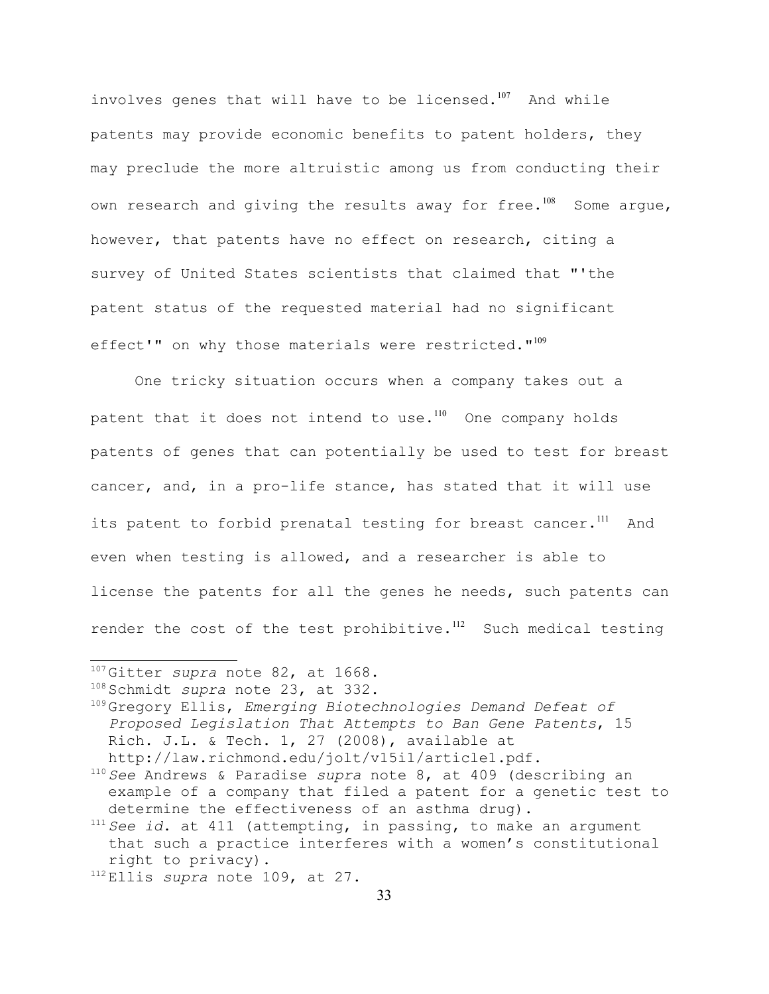involves genes that will have to be licensed.<sup>[107](#page-32-0)</sup> And while patents may provide economic benefits to patent holders, they may preclude the more altruistic among us from conducting their own research and giving the results away for free.<sup>[108](#page-32-1)</sup> Some argue, however, that patents have no effect on research, citing a survey of United States scientists that claimed that "'the patent status of the requested material had no significant effect'" on why those materials were restricted."<sup>[109](#page-32-2)</sup>

One tricky situation occurs when a company takes out a patent that it does not intend to use.<sup>[110](#page-32-3)</sup> One company holds patents of genes that can potentially be used to test for breast cancer, and, in a pro-life stance, has stated that it will use its patent to forbid prenatal testing for breast cancer.<sup>[111](#page-32-4)</sup> And even when testing is allowed, and a researcher is able to license the patents for all the genes he needs, such patents can render the cost of the test prohibitive.<sup>[112](#page-32-5)</sup> Such medical testing

<span id="page-32-0"></span><sup>107</sup> Gitter *supra* note 82, at 1668.

<span id="page-32-1"></span><sup>108</sup> Schmidt *supra* note 23, at 332.

<span id="page-32-2"></span><sup>109</sup> Gregory Ellis, *Emerging Biotechnologies Demand Defeat of Proposed Legislation That Attempts to Ban Gene Patents*, 15 Rich. J.L. & Tech. 1, 27 (2008), available at http://law.richmond.edu/jolt/v15i1/article1.pdf.

<span id="page-32-3"></span><sup>110</sup> *See* Andrews & Paradise *supra* note 8, at 409 (describing an example of a company that filed a patent for a genetic test to determine the effectiveness of an asthma drug).

<span id="page-32-4"></span><sup>111</sup> *See id*. at 411 (attempting, in passing, to make an argument that such a practice interferes with a women's constitutional right to privacy).

<span id="page-32-5"></span><sup>112</sup> Ellis *supra* note 109, at 27.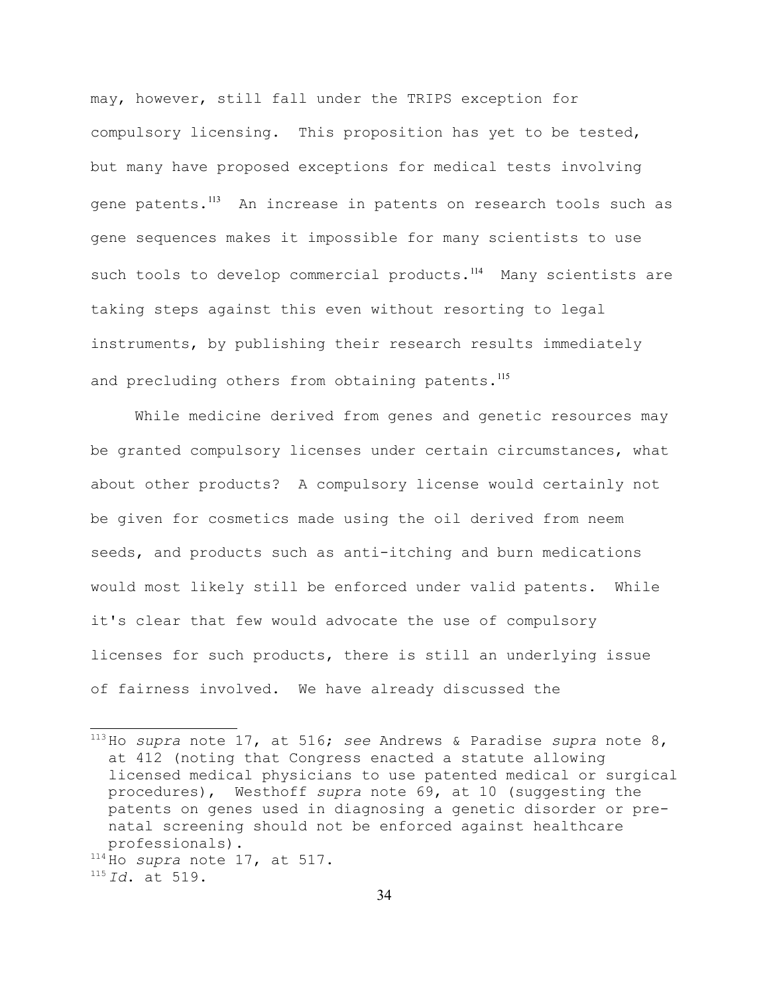may, however, still fall under the TRIPS exception for compulsory licensing. This proposition has yet to be tested, but many have proposed exceptions for medical tests involving gene patents.<sup>[113](#page-33-0)</sup> An increase in patents on research tools such as gene sequences makes it impossible for many scientists to use such tools to develop commercial products.<sup>[114](#page-33-1)</sup> Many scientists are taking steps against this even without resorting to legal instruments, by publishing their research results immediately and precluding others from obtaining patents.<sup>[115](#page-33-2)</sup>

While medicine derived from genes and genetic resources may be granted compulsory licenses under certain circumstances, what about other products? A compulsory license would certainly not be given for cosmetics made using the oil derived from neem seeds, and products such as anti-itching and burn medications would most likely still be enforced under valid patents. While it's clear that few would advocate the use of compulsory licenses for such products, there is still an underlying issue of fairness involved. We have already discussed the

<span id="page-33-1"></span><sup>114</sup> Ho *supra* note 17, at 517.

<span id="page-33-0"></span><sup>113</sup> Ho *supra* note 17, at 516; *see* Andrews & Paradise *supra* note 8, at 412 (noting that Congress enacted a statute allowing licensed medical physicians to use patented medical or surgical procedures), Westhoff *supra* note 69, at 10 (suggesting the patents on genes used in diagnosing a genetic disorder or prenatal screening should not be enforced against healthcare professionals).

<span id="page-33-2"></span><sup>115</sup> *Id*. at 519.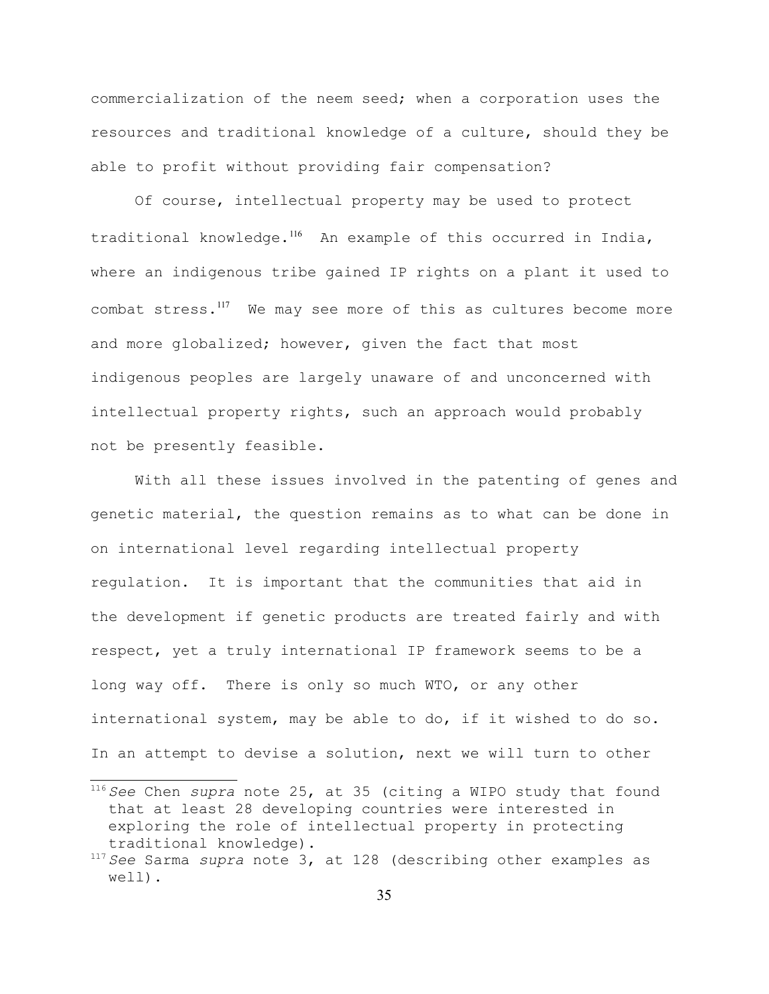commercialization of the neem seed; when a corporation uses the resources and traditional knowledge of a culture, should they be able to profit without providing fair compensation?

Of course, intellectual property may be used to protect traditional knowledge.<sup>[116](#page-34-0)</sup> An example of this occurred in India, where an indigenous tribe gained IP rights on a plant it used to combat stress.<sup>[117](#page-34-1)</sup> We may see more of this as cultures become more and more globalized; however, given the fact that most indigenous peoples are largely unaware of and unconcerned with intellectual property rights, such an approach would probably not be presently feasible.

With all these issues involved in the patenting of genes and genetic material, the question remains as to what can be done in on international level regarding intellectual property regulation. It is important that the communities that aid in the development if genetic products are treated fairly and with respect, yet a truly international IP framework seems to be a long way off. There is only so much WTO, or any other international system, may be able to do, if it wished to do so. In an attempt to devise a solution, next we will turn to other

<span id="page-34-0"></span><sup>116</sup> *See* Chen *supra* note 25, at 35 (citing a WIPO study that found that at least 28 developing countries were interested in exploring the role of intellectual property in protecting traditional knowledge).

<span id="page-34-1"></span><sup>117</sup> *See* Sarma *supra* note 3, at 128 (describing other examples as well).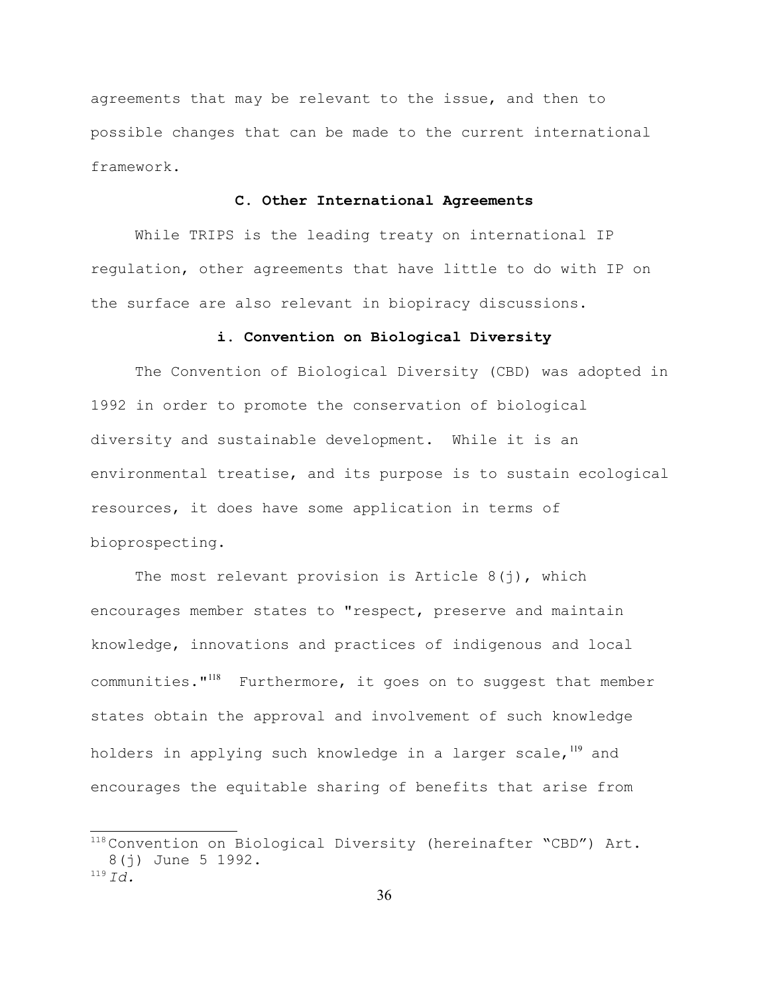agreements that may be relevant to the issue, and then to possible changes that can be made to the current international framework.

## **C. Other International Agreements**

While TRIPS is the leading treaty on international IP regulation, other agreements that have little to do with IP on the surface are also relevant in biopiracy discussions.

### **i. Convention on Biological Diversity**

The Convention of Biological Diversity (CBD) was adopted in 1992 in order to promote the conservation of biological diversity and sustainable development. While it is an environmental treatise, and its purpose is to sustain ecological resources, it does have some application in terms of bioprospecting.

The most relevant provision is Article  $8(i)$ , which encourages member states to "respect, preserve and maintain knowledge, innovations and practices of indigenous and local communities."<sup>[118](#page-35-0)</sup> Furthermore, it goes on to suggest that member states obtain the approval and involvement of such knowledge holders in applying such knowledge in a larger scale, $119$  and encourages the equitable sharing of benefits that arise from

<span id="page-35-1"></span><span id="page-35-0"></span><sup>118</sup> Convention on Biological Diversity (hereinafter "CBD") Art. 8(j) June 5 1992.  $^{119}$  *Id.*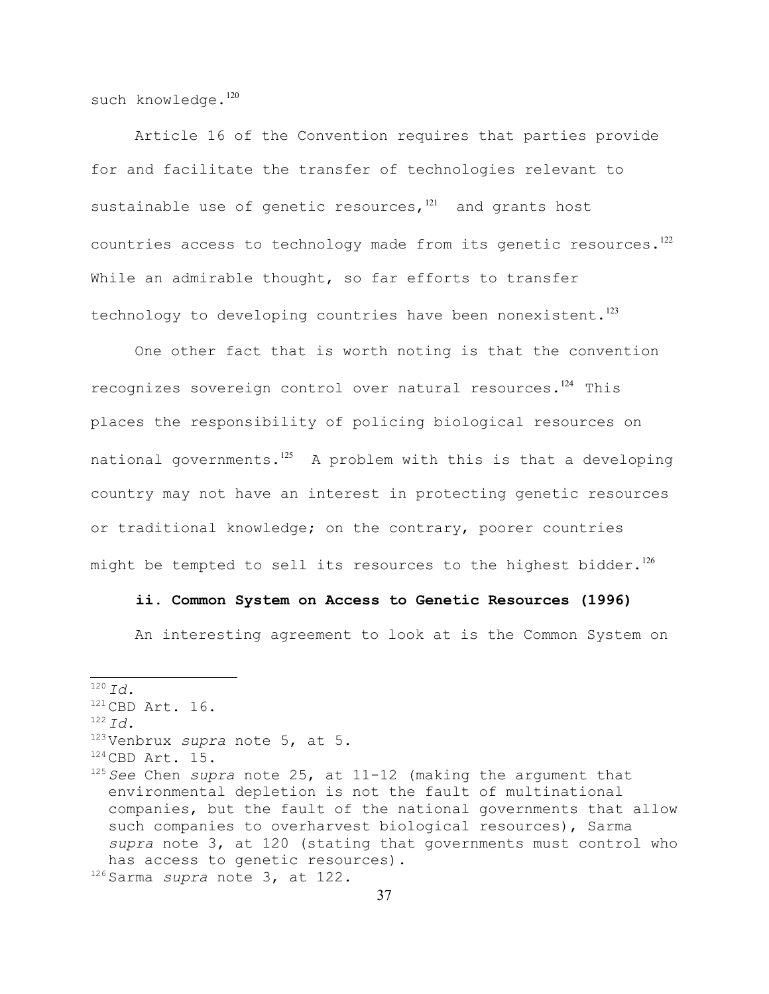such knowledge.<sup>[120](#page-36-0)</sup>

Article 16 of the Convention requires that parties provide for and facilitate the transfer of technologies relevant to sustainable use of genetic resources, $121$  and grants host countries access to technology made from its genetic resources. $^{122}$  $^{122}$  $^{122}$ While an admirable thought, so far efforts to transfer technology to developing countries have been nonexistent.<sup>[123](#page-36-3)</sup>

One other fact that is worth noting is that the convention recognizes sovereign control over natural resources.<sup>[124](#page-36-4)</sup> This places the responsibility of policing biological resources on national governments. $125$  A problem with this is that a developing country may not have an interest in protecting genetic resources or traditional knowledge; on the contrary, poorer countries might be tempted to sell its resources to the highest bidder. $^{126}$  $^{126}$  $^{126}$ 

# **ii. Common System on Access to Genetic Resources (1996)**

An interesting agreement to look at is the Common System on

<span id="page-36-6"></span><span id="page-36-5"></span><span id="page-36-4"></span><span id="page-36-3"></span><span id="page-36-2"></span><span id="page-36-1"></span><span id="page-36-0"></span> $120 \, \text{Jd}$ .  $121$  CBD Art. 16. <sup>122</sup> *Id.* <sup>123</sup> Venbrux *supra* note 5, at 5.  $124$  CBD Art. 15. <sup>125</sup> *See* Chen *supra* note 25, at 11-12 (making the argument that environmental depletion is not the fault of multinational companies, but the fault of the national governments that allow such companies to overharvest biological resources), Sarma *supra* note 3, at 120 (stating that governments must control who has access to genetic resources). <sup>126</sup> Sarma *supra* note 3, at 122.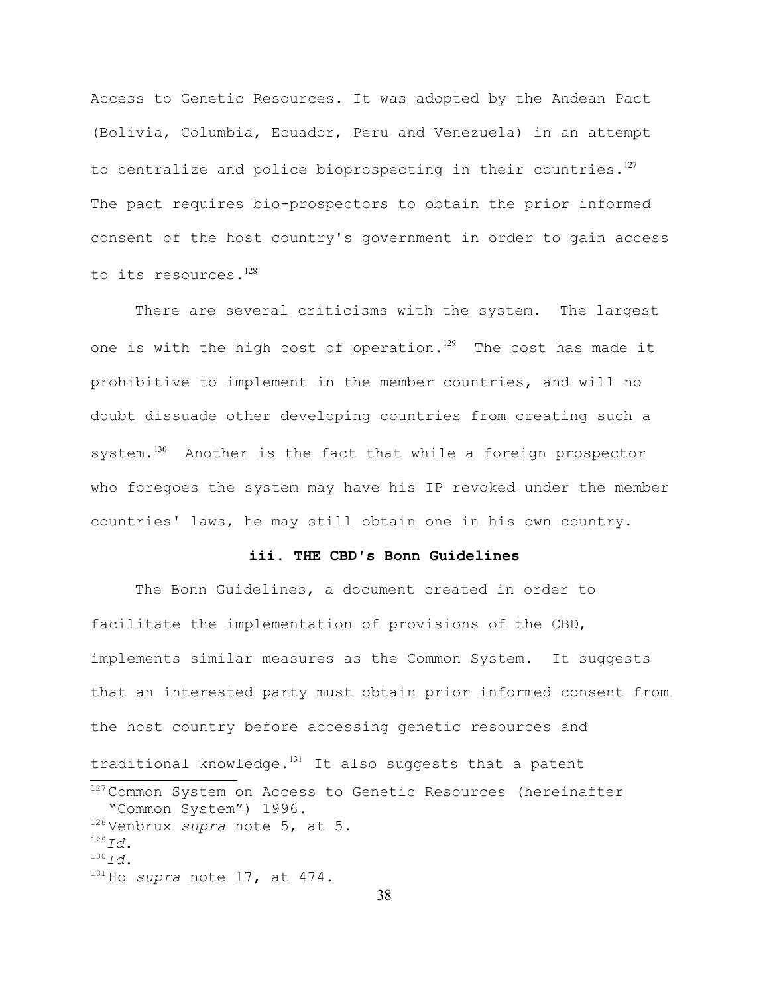Access to Genetic Resources. It was adopted by the Andean Pact (Bolivia, Columbia, Ecuador, Peru and Venezuela) in an attempt to centralize and police bioprospecting in their countries. $127$ The pact requires bio-prospectors to obtain the prior informed consent of the host country's government in order to gain access to its resources.<sup>[128](#page-37-1)</sup>

There are several criticisms with the system. The largest one is with the high cost of operation.<sup>[129](#page-37-2)</sup> The cost has made it prohibitive to implement in the member countries, and will no doubt dissuade other developing countries from creating such a system.<sup>[130](#page-37-3)</sup> Another is the fact that while a foreign prospector who foregoes the system may have his IP revoked under the member countries' laws, he may still obtain one in his own country.

### **iii. THE CBD's Bonn Guidelines**

<span id="page-37-4"></span><span id="page-37-3"></span><span id="page-37-2"></span><span id="page-37-1"></span><span id="page-37-0"></span>The Bonn Guidelines, a document created in order to facilitate the implementation of provisions of the CBD, implements similar measures as the Common System. It suggests that an interested party must obtain prior informed consent from the host country before accessing genetic resources and traditional knowledge. $131$  It also suggests that a patent <sup>127</sup> Common System on Access to Genetic Resources (hereinafter "Common System") 1996. <sup>128</sup> Venbrux *supra* note 5, at 5. <sup>129</sup>*Id*. <sup>130</sup>*Id*. <sup>131</sup> Ho *supra* note 17, at 474.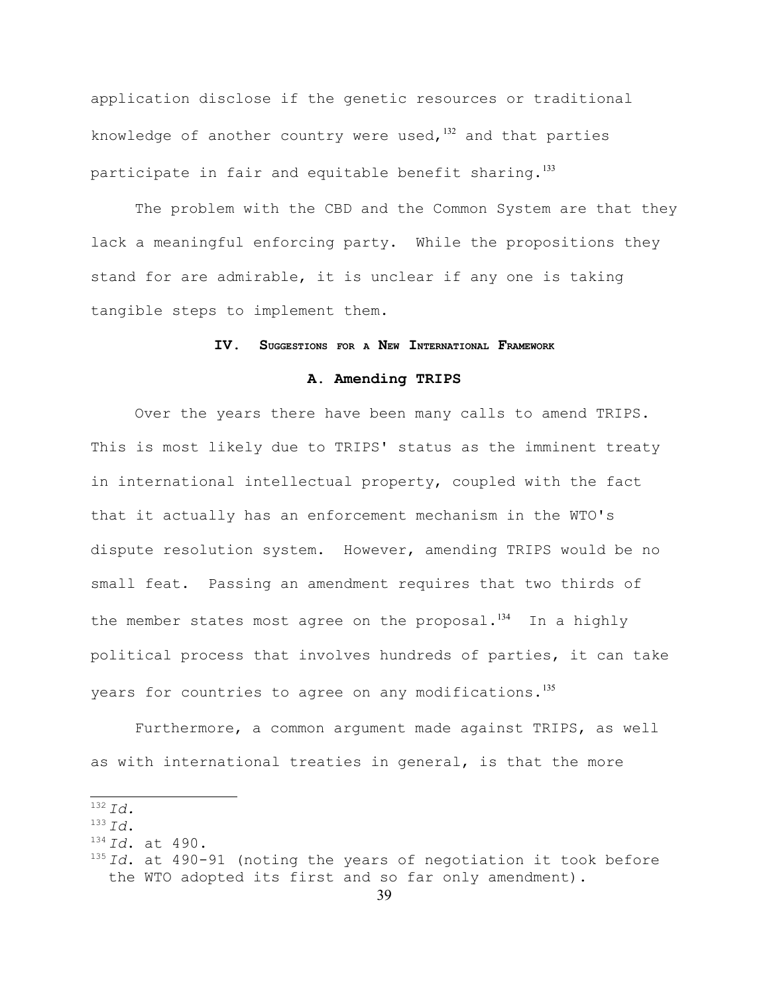application disclose if the genetic resources or traditional knowledge of another country were used, $132$  and that parties participate in fair and equitable benefit sharing. $133$ 

The problem with the CBD and the Common System are that they lack a meaningful enforcing party. While the propositions they stand for are admirable, it is unclear if any one is taking tangible steps to implement them.

#### **IV. SUGGESTIONS FOR <sup>A</sup> NEW INTERNATIONAL FRAMEWORK**

#### **A. Amending TRIPS**

Over the years there have been many calls to amend TRIPS. This is most likely due to TRIPS' status as the imminent treaty in international intellectual property, coupled with the fact that it actually has an enforcement mechanism in the WTO's dispute resolution system. However, amending TRIPS would be no small feat. Passing an amendment requires that two thirds of the member states most agree on the proposal. $134$  In a highly political process that involves hundreds of parties, it can take years for countries to agree on any modifications.<sup>[135](#page-38-3)</sup>

Furthermore, a common argument made against TRIPS, as well as with international treaties in general, is that the more

<span id="page-38-0"></span><sup>132</sup> *Id.*

<span id="page-38-1"></span> $133 \, Td$ .

<span id="page-38-2"></span><sup>134</sup> *Id*. at 490.

<span id="page-38-3"></span><sup>135</sup> *Id*. at 490-91 (noting the years of negotiation it took before the WTO adopted its first and so far only amendment).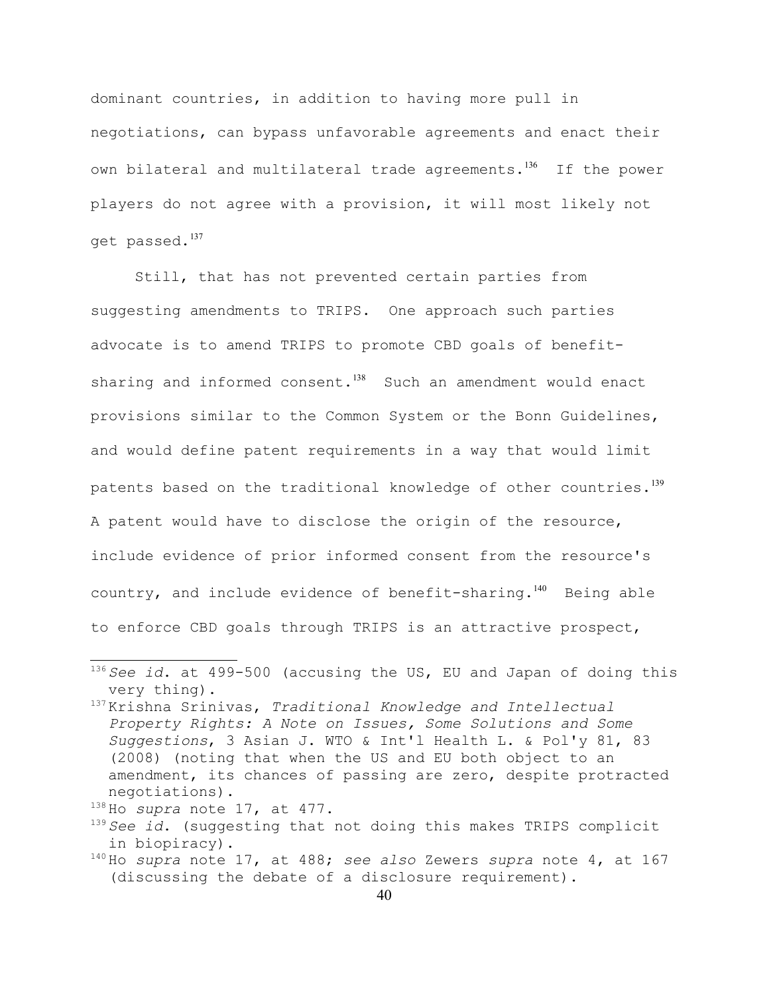dominant countries, in addition to having more pull in negotiations, can bypass unfavorable agreements and enact their own bilateral and multilateral trade agreements.<sup>[136](#page-39-0)</sup> If the power players do not agree with a provision, it will most likely not get passed.<sup>[137](#page-39-1)</sup>

Still, that has not prevented certain parties from suggesting amendments to TRIPS. One approach such parties advocate is to amend TRIPS to promote CBD goals of benefit-sharing and informed consent.<sup>[138](#page-39-2)</sup> Such an amendment would enact provisions similar to the Common System or the Bonn Guidelines, and would define patent requirements in a way that would limit patents based on the traditional knowledge of other countries.<sup>[139](#page-39-3)</sup> A patent would have to disclose the origin of the resource, include evidence of prior informed consent from the resource's country, and include evidence of benefit-sharing.<sup>[140](#page-39-4)</sup> Being able to enforce CBD goals through TRIPS is an attractive prospect,

<span id="page-39-2"></span><sup>138</sup> Ho *supra* note 17, at 477.

<span id="page-39-0"></span><sup>136</sup> *See id*. at 499-500 (accusing the US, EU and Japan of doing this very thing).

<span id="page-39-1"></span><sup>137</sup> Krishna Srinivas, *Traditional Knowledge and Intellectual Property Rights: A Note on Issues, Some Solutions and Some Suggestions*, 3 Asian J. WTO & Int'l Health L. & Pol'y 81, 83 (2008) (noting that when the US and EU both object to an amendment, its chances of passing are zero, despite protracted negotiations).

<span id="page-39-3"></span><sup>139</sup> *See id*. (suggesting that not doing this makes TRIPS complicit in biopiracy).

<span id="page-39-4"></span><sup>140</sup> Ho *supra* note 17, at 488; *see also* Zewers *supra* note 4, at 167 (discussing the debate of a disclosure requirement).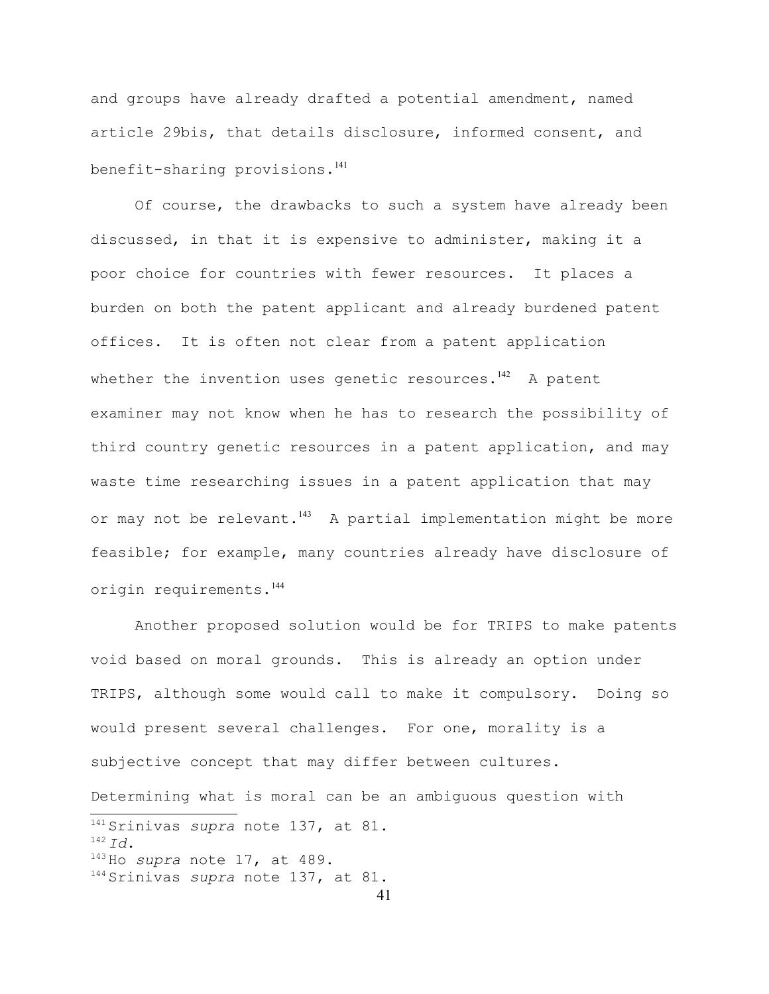and groups have already drafted a potential amendment, named article 29bis, that details disclosure, informed consent, and benefit-sharing provisions.<sup>[141](#page-40-0)</sup>

Of course, the drawbacks to such a system have already been discussed, in that it is expensive to administer, making it a poor choice for countries with fewer resources. It places a burden on both the patent applicant and already burdened patent offices. It is often not clear from a patent application whether the invention uses genetic resources. $142$  A patent examiner may not know when he has to research the possibility of third country genetic resources in a patent application, and may waste time researching issues in a patent application that may or may not be relevant. $143$  A partial implementation might be more feasible; for example, many countries already have disclosure of origin requirements.[144](#page-40-3)

<span id="page-40-3"></span><span id="page-40-2"></span><span id="page-40-1"></span><span id="page-40-0"></span>Another proposed solution would be for TRIPS to make patents void based on moral grounds. This is already an option under TRIPS, although some would call to make it compulsory. Doing so would present several challenges. For one, morality is a subjective concept that may differ between cultures. Determining what is moral can be an ambiguous question with <sup>141</sup> Srinivas *supra* note 137, at 81. <sup>142</sup> *Id.* <sup>143</sup> Ho *supra* note 17, at 489. <sup>144</sup> Srinivas *supra* note 137, at 81.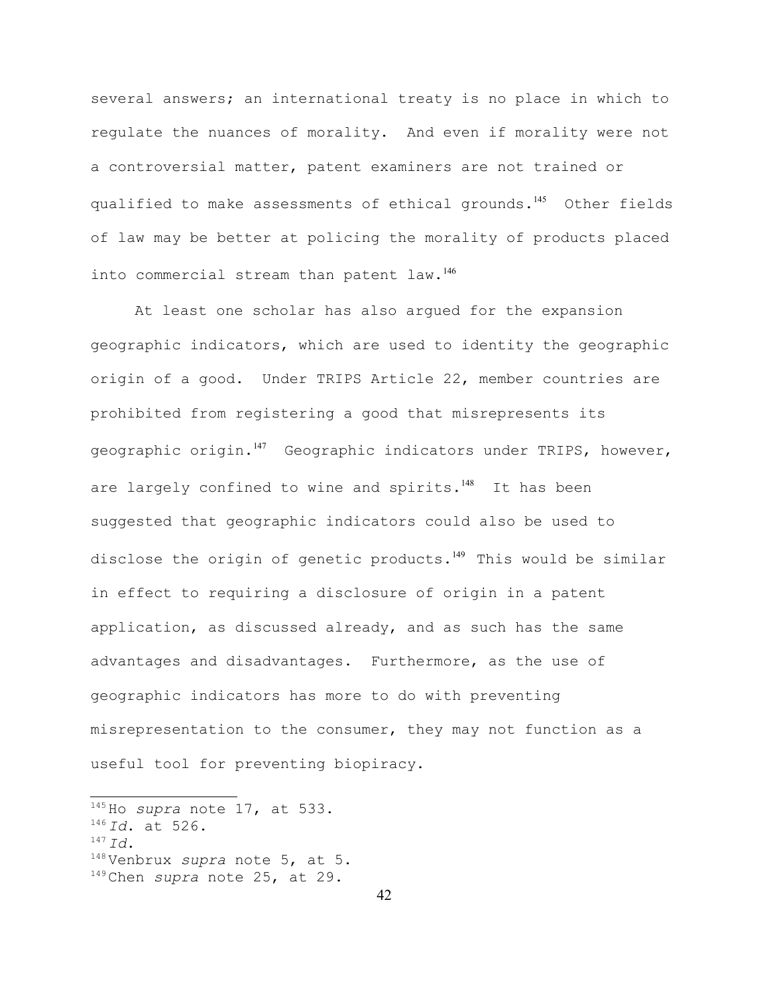several answers; an international treaty is no place in which to regulate the nuances of morality. And even if morality were not a controversial matter, patent examiners are not trained or qualified to make assessments of ethical grounds.<sup>[145](#page-41-0)</sup> Other fields of law may be better at policing the morality of products placed into commercial stream than patent law.<sup>[146](#page-41-1)</sup>

At least one scholar has also argued for the expansion geographic indicators, which are used to identity the geographic origin of a good. Under TRIPS Article 22, member countries are prohibited from registering a good that misrepresents its geographic origin.<sup>[147](#page-41-2)</sup> Geographic indicators under TRIPS, however, are largely confined to wine and spirits.<sup>[148](#page-41-3)</sup> It has been suggested that geographic indicators could also be used to disclose the origin of genetic products.<sup>[149](#page-41-4)</sup> This would be similar in effect to requiring a disclosure of origin in a patent application, as discussed already, and as such has the same advantages and disadvantages. Furthermore, as the use of geographic indicators has more to do with preventing misrepresentation to the consumer, they may not function as a useful tool for preventing biopiracy.

<span id="page-41-2"></span><sup>147</sup> *Id*.

<span id="page-41-0"></span><sup>145</sup> Ho *supra* note 17, at 533.

<span id="page-41-1"></span><sup>146</sup> *Id*. at 526.

<span id="page-41-3"></span><sup>148</sup> Venbrux *supra* note 5, at 5.

<span id="page-41-4"></span><sup>149</sup> Chen *supra* note 25, at 29.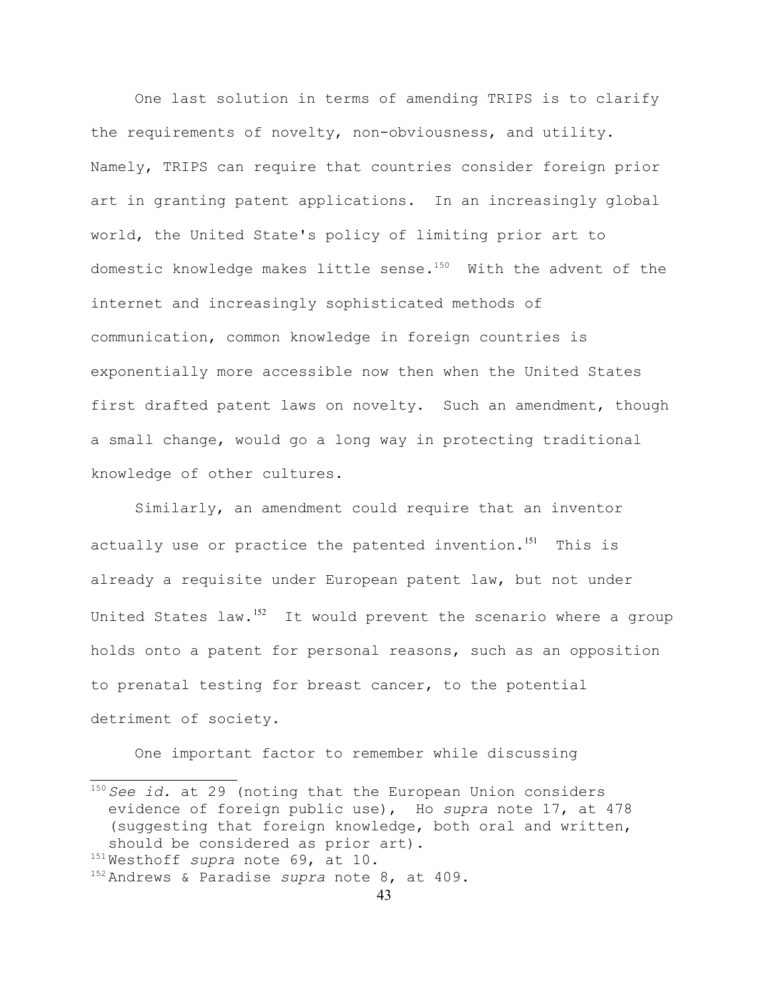One last solution in terms of amending TRIPS is to clarify the requirements of novelty, non-obviousness, and utility. Namely, TRIPS can require that countries consider foreign prior art in granting patent applications. In an increasingly global world, the United State's policy of limiting prior art to domestic knowledge makes little sense.<sup>[150](#page-42-0)</sup> With the advent of the internet and increasingly sophisticated methods of communication, common knowledge in foreign countries is exponentially more accessible now then when the United States first drafted patent laws on novelty. Such an amendment, though a small change, would go a long way in protecting traditional knowledge of other cultures.

Similarly, an amendment could require that an inventor actually use or practice the patented invention.<sup>[151](#page-42-1)</sup> This is already a requisite under European patent law, but not under United States law.<sup>[152](#page-42-2)</sup> It would prevent the scenario where a group holds onto a patent for personal reasons, such as an opposition to prenatal testing for breast cancer, to the potential detriment of society.

One important factor to remember while discussing

<span id="page-42-0"></span><sup>&</sup>lt;sup>150</sup> See id. at 29 (noting that the European Union considers evidence of foreign public use), Ho *supra* note 17, at 478 (suggesting that foreign knowledge, both oral and written, should be considered as prior art).

<span id="page-42-1"></span><sup>151</sup> Westhoff *supra* note 69, at 10.

<span id="page-42-2"></span><sup>152</sup> Andrews & Paradise *supra* note 8, at 409.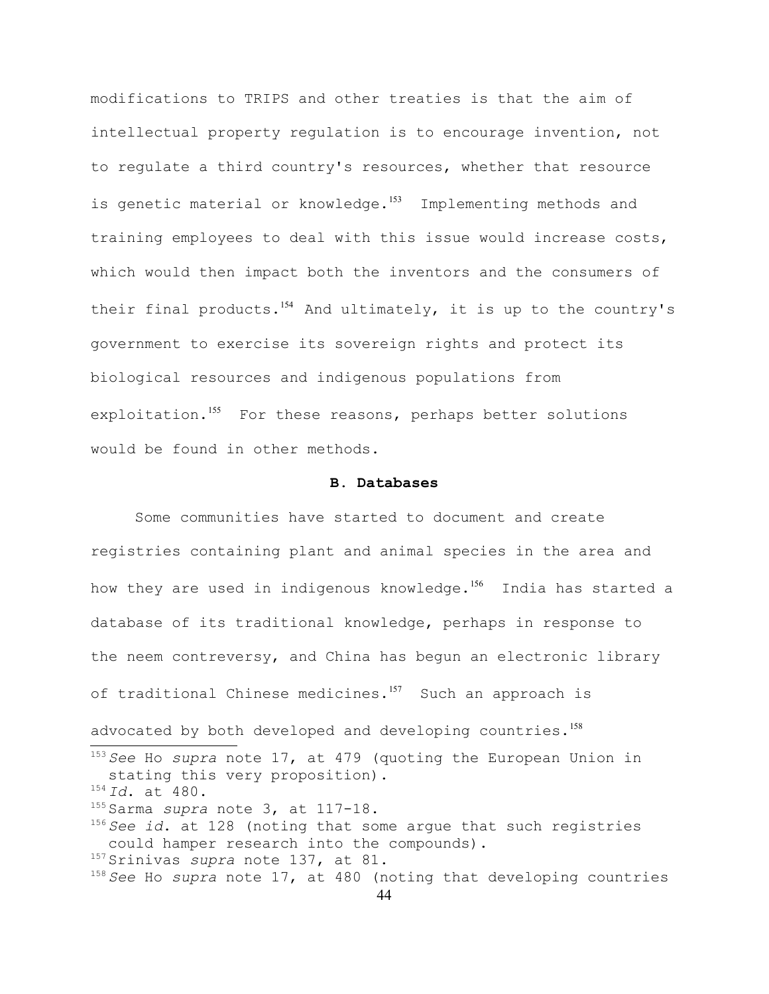modifications to TRIPS and other treaties is that the aim of intellectual property regulation is to encourage invention, not to regulate a third country's resources, whether that resource is genetic material or knowledge.<sup>[153](#page-43-0)</sup> Implementing methods and training employees to deal with this issue would increase costs, which would then impact both the inventors and the consumers of their final products.<sup>[154](#page-43-1)</sup> And ultimately, it is up to the country's government to exercise its sovereign rights and protect its biological resources and indigenous populations from exploitation.<sup>[155](#page-43-2)</sup> For these reasons, perhaps better solutions would be found in other methods.

### **B. Databases**

<span id="page-43-5"></span><span id="page-43-4"></span><span id="page-43-3"></span><span id="page-43-2"></span><span id="page-43-1"></span><span id="page-43-0"></span>Some communities have started to document and create registries containing plant and animal species in the area and how they are used in indigenous knowledge.<sup>[156](#page-43-3)</sup> India has started a database of its traditional knowledge, perhaps in response to the neem contreversy, and China has begun an electronic library of traditional Chinese medicines.<sup>[157](#page-43-4)</sup> Such an approach is advocated by both developed and developing countries.<sup>[158](#page-43-5)</sup> <sup>153</sup> *See* Ho *supra* note 17, at 479 (quoting the European Union in stating this very proposition). <sup>154</sup> *Id*. at 480. <sup>155</sup> Sarma *supra* note 3, at 117-18. <sup>156</sup> *See id*. at 128 (noting that some argue that such registries could hamper research into the compounds). <sup>157</sup> Srinivas *supra* note 137, at 81. <sup>158</sup> *See* Ho *supra* note 17, at 480 (noting that developing countries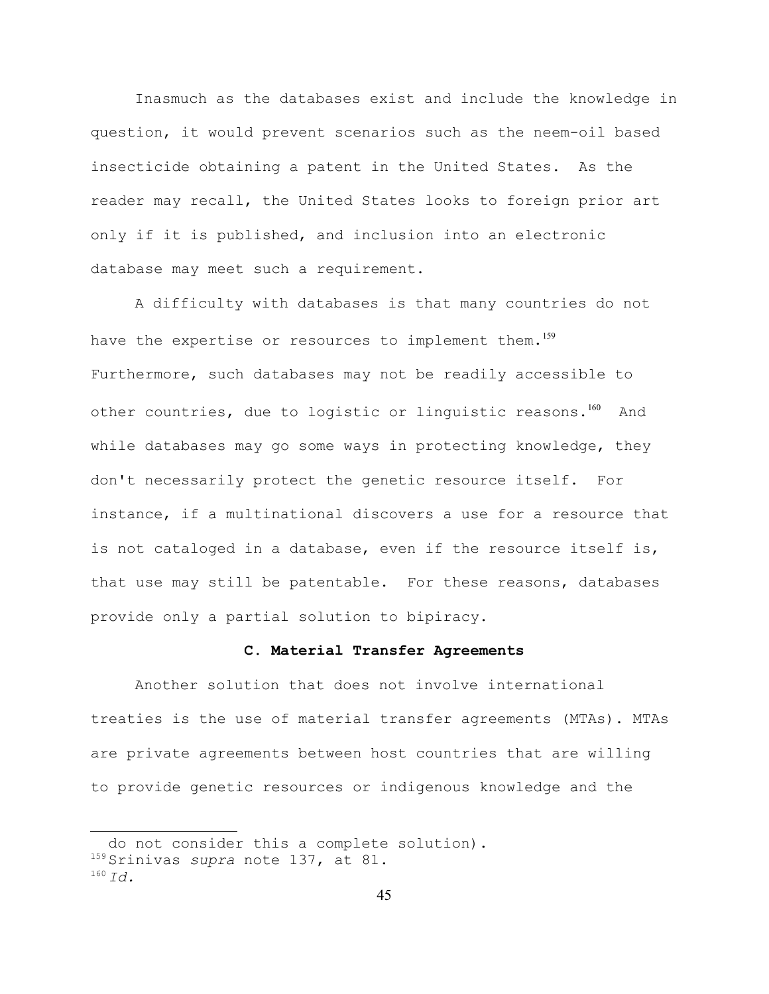Inasmuch as the databases exist and include the knowledge in question, it would prevent scenarios such as the neem-oil based insecticide obtaining a patent in the United States. As the reader may recall, the United States looks to foreign prior art only if it is published, and inclusion into an electronic database may meet such a requirement.

A difficulty with databases is that many countries do not have the expertise or resources to implement them.<sup>[159](#page-44-0)</sup> Furthermore, such databases may not be readily accessible to other countries, due to logistic or linguistic reasons.<sup>[160](#page-44-1)</sup> And while databases may go some ways in protecting knowledge, they don't necessarily protect the genetic resource itself. For instance, if a multinational discovers a use for a resource that is not cataloged in a database, even if the resource itself is, that use may still be patentable. For these reasons, databases provide only a partial solution to bipiracy.

# **C. Material Transfer Agreements**

Another solution that does not involve international treaties is the use of material transfer agreements (MTAs). MTAs are private agreements between host countries that are willing to provide genetic resources or indigenous knowledge and the

<span id="page-44-0"></span>do not consider this a complete solution). <sup>159</sup> Srinivas *supra* note 137, at 81.

<span id="page-44-1"></span><sup>160</sup> *Id.*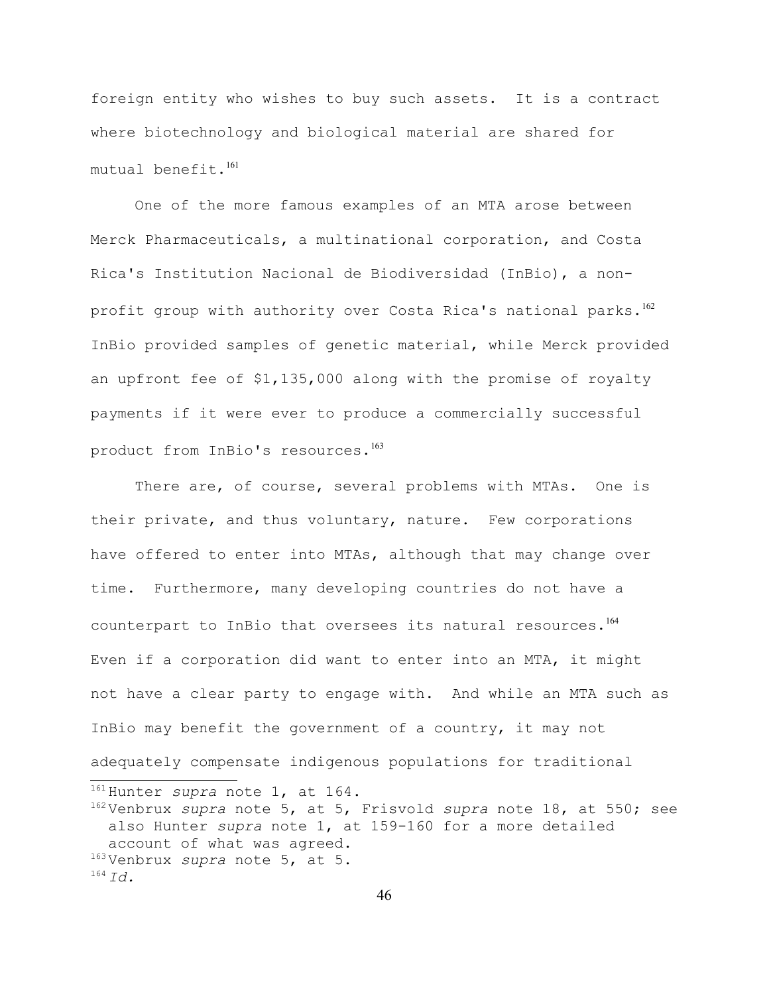foreign entity who wishes to buy such assets. It is a contract where biotechnology and biological material are shared for  $mutual benefit.<sup>161</sup>$  $mutual benefit.<sup>161</sup>$  $mutual benefit.<sup>161</sup>$ 

One of the more famous examples of an MTA arose between Merck Pharmaceuticals, a multinational corporation, and Costa Rica's Institution Nacional de Biodiversidad (InBio), a nonprofit group with authority over Costa Rica's national parks. $^{162}$  $^{162}$  $^{162}$ InBio provided samples of genetic material, while Merck provided an upfront fee of \$1,135,000 along with the promise of royalty payments if it were ever to produce a commercially successful product from InBio's resources.<sup>[163](#page-45-2)</sup>

There are, of course, several problems with MTAs. One is their private, and thus voluntary, nature. Few corporations have offered to enter into MTAs, although that may change over time. Furthermore, many developing countries do not have a counterpart to InBio that oversees its natural resources.<sup>[164](#page-45-3)</sup> Even if a corporation did want to enter into an MTA, it might not have a clear party to engage with. And while an MTA such as InBio may benefit the government of a country, it may not adequately compensate indigenous populations for traditional <sup>161</sup> Hunter *supra* note 1, at 164. <sup>162</sup> Venbrux *supra* note 5, at 5, Frisvold *supra* note 18, at 550; see

<span id="page-45-3"></span><span id="page-45-2"></span><span id="page-45-1"></span><span id="page-45-0"></span>also Hunter *supra* note 1, at 159-160 for a more detailed account of what was agreed. <sup>163</sup> Venbrux *supra* note 5, at 5.  $^{164}$  *Id.*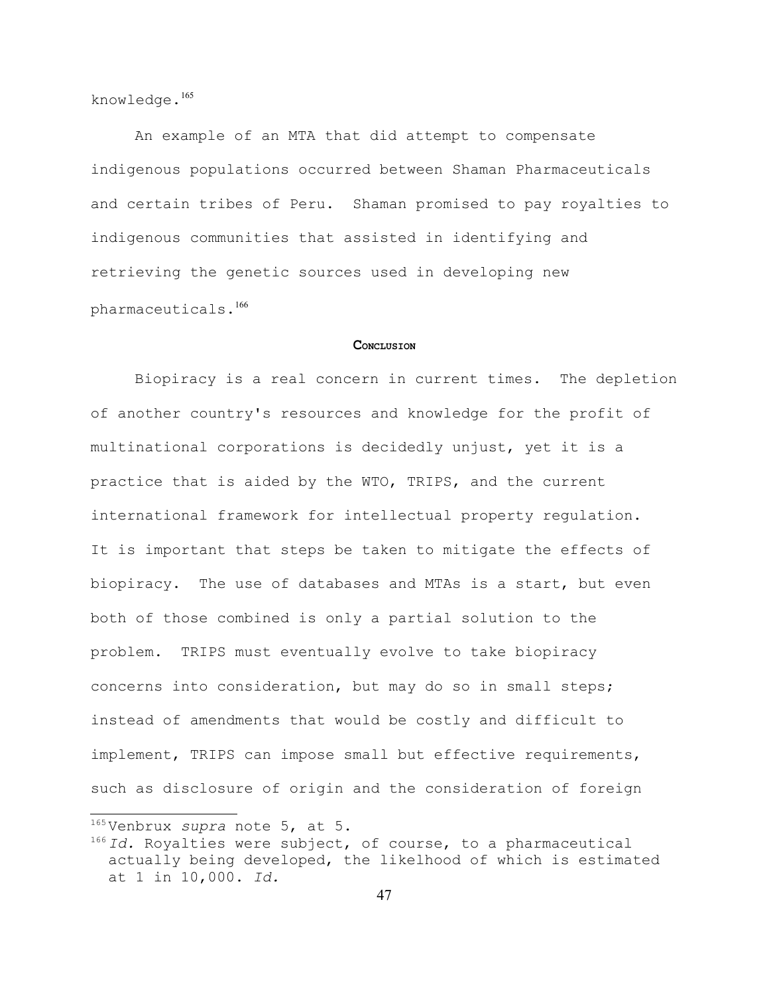knowledge.<sup>[165](#page-46-0)</sup>

An example of an MTA that did attempt to compensate indigenous populations occurred between Shaman Pharmaceuticals and certain tribes of Peru. Shaman promised to pay royalties to indigenous communities that assisted in identifying and retrieving the genetic sources used in developing new pharmaceuticals.[166](#page-46-1)

#### **CONCLUSION**

Biopiracy is a real concern in current times. The depletion of another country's resources and knowledge for the profit of multinational corporations is decidedly unjust, yet it is a practice that is aided by the WTO, TRIPS, and the current international framework for intellectual property regulation. It is important that steps be taken to mitigate the effects of biopiracy. The use of databases and MTAs is a start, but even both of those combined is only a partial solution to the problem. TRIPS must eventually evolve to take biopiracy concerns into consideration, but may do so in small steps; instead of amendments that would be costly and difficult to implement, TRIPS can impose small but effective requirements, such as disclosure of origin and the consideration of foreign

<span id="page-46-0"></span><sup>165</sup> Venbrux *supra* note 5, at 5.

<span id="page-46-1"></span><sup>166</sup> *Id.* Royalties were subject, of course, to a pharmaceutical actually being developed, the likelhood of which is estimated at 1 in 10,000. *Id.*